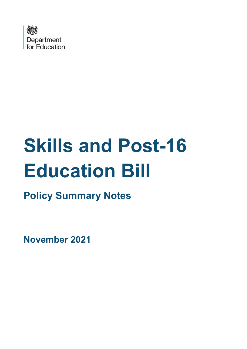

# **Skills and Post-16 Education Bill**

**Policy Summary Notes** 

**November 2021**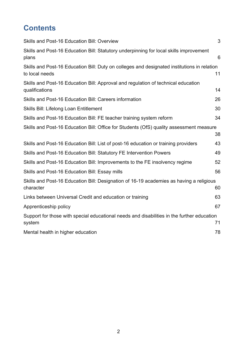# **Contents**

| Skills and Post-16 Education Bill: Overview                                                                   | 3  |
|---------------------------------------------------------------------------------------------------------------|----|
| Skills and Post-16 Education Bill: Statutory underpinning for local skills improvement<br>plans               | 6  |
| Skills and Post-16 Education Bill: Duty on colleges and designated institutions in relation<br>to local needs | 11 |
| Skills and Post-16 Education Bill: Approval and regulation of technical education<br>qualifications           | 14 |
| Skills and Post-16 Education Bill: Careers information                                                        | 26 |
| Skills Bill: Lifelong Loan Entitlement                                                                        | 30 |
| Skills and Post-16 Education Bill: FE teacher training system reform                                          | 34 |
| Skills and Post-16 Education Bill: Office for Students (OfS) quality assessment measure                       | 38 |
| Skills and Post-16 Education Bill: List of post-16 education or training providers                            | 43 |
| Skills and Post-16 Education Bill: Statutory FE Intervention Powers                                           | 49 |
| Skills and Post-16 Education Bill: Improvements to the FE insolvency regime                                   | 52 |
| Skills and Post-16 Education Bill: Essay mills                                                                | 56 |
| Skills and Post-16 Education Bill: Designation of 16-19 academies as having a religious<br>character          | 60 |
| Links between Universal Credit and education or training                                                      | 63 |
| Apprenticeship policy                                                                                         | 67 |
| Support for those with special educational needs and disabilities in the further education<br>system          | 71 |
| Mental health in higher education                                                                             | 78 |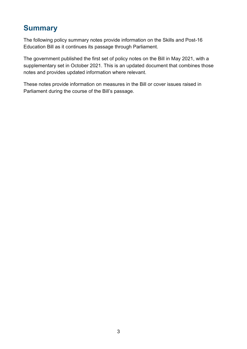# <span id="page-2-0"></span>**Summary**

The following policy summary notes provide information on the Skills and Post-16 Education Bill as it continues its passage through Parliament.

The government published the first set of policy notes on the Bill in May 2021, with a supplementary set in October 2021. This is an updated document that combines those notes and provides updated information where relevant.

These notes provide information on measures in the Bill or cover issues raised in Parliament during the course of the Bill's passage.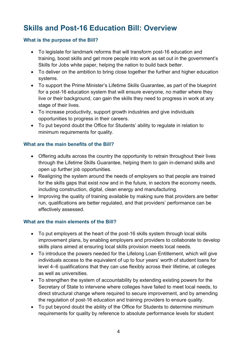# **Skills and Post-16 Education Bill: Overview**

#### **What is the purpose of the Bill?**

- To legislate for landmark reforms that will transform post-16 education and training, boost skills and get more people into work as set out in the government's Skills for Jobs white paper, helping the nation to build back better.
- To deliver on the ambition to bring close together the further and higher education systems.
- To support the Prime Minister's Lifetime Skills Guarantee, as part of the blueprint for a post-16 education system that will ensure everyone, no matter where they live or their background, can gain the skills they need to progress in work at any stage of their lives.
- To increase productivity, support growth industries and give individuals opportunities to progress in their careers.
- To put beyond doubt the Office for Students' ability to regulate in relation to minimum requirements for quality.

#### **What are the main benefits of the Bill?**

- Offering adults across the country the opportunity to retrain throughout their lives through the Lifetime Skills Guarantee, helping them to gain in-demand skills and open up further job opportunities.
- Realigning the system around the needs of employers so that people are trained for the skills gaps that exist now and in the future, in sectors the economy needs, including construction, digital, clean energy and manufacturing.
- Improving the quality of training available by making sure that providers are better run, qualifications are better regulated, and that providers' performance can be effectively assessed.

#### **What are the main elements of the Bill?**

- To put employers at the heart of the post-16 skills system through local skills improvement plans, by enabling employers and providers to collaborate to develop skills plans aimed at ensuring local skills provision meets local needs.
- To introduce the powers needed for the Lifelong Loan Entitlement, which will give individuals access to the equivalent of up to four years' worth of student loans for level 4–6 qualifications that they can use flexibly across their lifetime, at colleges as well as universities.
- To strengthen the system of accountability by extending existing powers for the Secretary of State to intervene where colleges have failed to meet local needs, to direct structural change where required to secure improvement, and by amending the regulation of post-16 education and training providers to ensure quality.
- To put beyond doubt the ability of the Office for Students to determine minimum requirements for quality by reference to absolute performance levels for student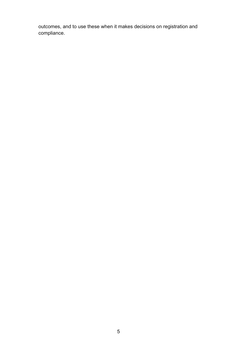outcomes, and to use these when it makes decisions on registration and compliance.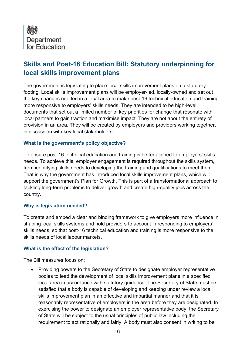<span id="page-5-0"></span>

## **Skills and Post-16 Education Bill: Statutory underpinning for local skills improvement plans**

The government is legislating to place local skills improvement plans on a statutory footing. Local skills improvement plans will be employer-led, locally-owned and set out the key changes needed in a local area to make post-16 technical education and training more responsive to employers' skills needs. They are intended to be high-level documents that set out a limited number of key priorities for change that resonate with local partners to gain traction and maximise impact. They are not about the entirety of provision in an area. They will be created by employers and providers working together, in discussion with key local stakeholders.

#### **What is the government's policy objective?**

To ensure post-16 technical education and training is better aligned to employers' skills needs. To achieve this, employer engagement is required throughout the skills system, from identifying skills needs to developing the training and qualifications to meet them. That is why the government has introduced local skills improvement plans, which will support the government's Plan for Growth. This is part of a transformational approach to tackling long-term problems to deliver growth and create high-quality jobs across the country.

#### **Why is legislation needed?**

To create and embed a clear and binding framework to give employers more influence in shaping local skills systems and hold providers to account in responding to employers' skills needs, so that post-16 technical education and training is more responsive to the skills needs of local labour markets.

#### **What is the effect of the legislation?**

The Bill measures focus on:

• Providing powers to the Secretary of State to designate employer representative bodies to lead the development of local skills improvement plans in a specified local area in accordance with statutory guidance. The Secretary of State must be satisfied that a body is capable of developing and keeping under review a local skills improvement plan in an effective and impartial manner and that it is reasonably representative of employers in the area before they are designated. In exercising the power to designate an employer representative body, the Secretary of State will be subject to the usual principles of public law including the requirement to act rationally and fairly. A body must also consent in writing to be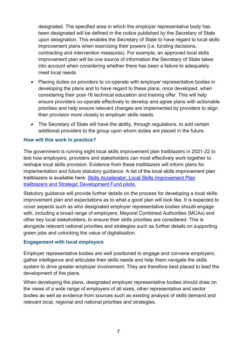designated. The specified area in which the employer representative body has been designated will be defined in the notice published by the Secretary of State upon designation. This enables the Secretary of State to have regard to local skills improvement plans when exercising their powers (i.e. funding decisions, contracting and intervention measures). For example, an approved local skills improvement plan will be one source of information the Secretary of State takes into account when considering whether there has been a failure to adequately meet local needs.

- Placing duties on providers to co-operate with employer representative bodies in developing the plans and to have regard to these plans, once developed, when considering their post-16 technical education and training offer. This will help ensure providers co-operate effectively to develop and agree plans with actionable priorities and help ensure relevant changes are implemented by providers to align their provision more closely to employer skills needs.
- The Secretary of State will have the ability, through regulations, to add certain additional providers to the group upon whom duties are placed in the future.

#### **How will this work in practice?**

The government is running eight local skills improvement plan trailblazers in 2021-22 to test how employers, providers and stakeholders can most effectively work together to reshape local skills provision. Evidence from these trailblazers will inform plans for implementation and future statutory guidance. A list of the local skills improvement plan trailblazers is available here: [Skills Accelerator: Local Skills Improvement Plan](https://www.gov.uk/government/publications/skills-accelerator-trailblazers-and-pilots/skills-accelerator-local-skills-improvement-plan-trailblazers-and-strategic-development-fund-pilots)  [trailblazers and Strategic Development Fund pilots.](https://www.gov.uk/government/publications/skills-accelerator-trailblazers-and-pilots/skills-accelerator-local-skills-improvement-plan-trailblazers-and-strategic-development-fund-pilots)

Statutory guidance will provide further details on the process for developing a local skills improvement plan and expectations as to what a good plan will look like. It is expected to cover aspects such as who designated employer representative bodies should engage with, including a broad range of employers, Mayoral Combined Authorities (MCAs) and other key local stakeholders, to ensure their skills priorities are considered. This is alongside relevant national priorities and strategies such as further details on supporting green jobs and unlocking the value of digitalisation.

#### **Engagement with local employers**

Employer representative bodies are well positioned to engage and convene employers, gather intelligence and articulate their skills needs and help them navigate the skills system to drive greater employer involvement. They are therefore best placed to lead the development of the plans.

When developing the plans, designated employer representative bodies should draw on the views of a wide range of employers of all sizes, other representative and sector bodies as well as evidence from sources such as existing analysis of skills demand and relevant local, regional and national priorities and strategies.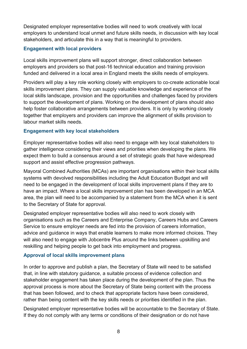Designated employer representative bodies will need to work creatively with local employers to understand local unmet and future skills needs, in discussion with key local stakeholders, and articulate this in a way that is meaningful to providers.

#### **Engagement with local providers**

Local skills improvement plans will support stronger, direct collaboration between employers and providers so that post-16 technical education and training provision funded and delivered in a local area in England meets the skills needs of employers.

Providers will play a key role working closely with employers to co-create actionable local skills improvement plans. They can supply valuable knowledge and experience of the local skills landscape, provision and the opportunities and challenges faced by providers to support the development of plans. Working on the development of plans should also help foster collaborative arrangements between providers. It is only by working closely together that employers and providers can improve the alignment of skills provision to labour market skills needs.

#### **Engagement with key local stakeholders**

Employer representative bodies will also need to engage with key local stakeholders to gather intelligence considering their views and priorities when developing the plans. We expect them to build a consensus around a set of strategic goals that have widespread support and assist effective progression pathways.

Mayoral Combined Authorities (MCAs) are important organisations within their local skills systems with devolved responsibilities including the Adult Education Budget and will need to be engaged in the development of local skills improvement plans if they are to have an impact. Where a local skills improvement plan has been developed in an MCA area, the plan will need to be accompanied by a statement from the MCA when it is sent to the Secretary of State for approval.

Designated employer representative bodies will also need to work closely with organisations such as the Careers and Enterprise Company, Careers Hubs and Careers Service to ensure employer needs are fed into the provision of careers information, advice and guidance in ways that enable learners to make more informed choices. They will also need to engage with Jobcentre Plus around the links between upskilling and reskilling and helping people to get back into employment and progress.

#### **Approval of local skills improvement plans**

In order to approve and publish a plan, the Secretary of State will need to be satisfied that, in line with statutory guidance, a suitable process of evidence collection and stakeholder engagement has taken place during the development of the plan. Thus the approval process is more about the Secretary of State being content with the process that has been followed, and to check that appropriate factors have been considered, rather than being content with the key skills needs or priorities identified in the plan.

Designated employer representative bodies will be accountable to the Secretary of State. If they do not comply with any terms or conditions of their designation or do not have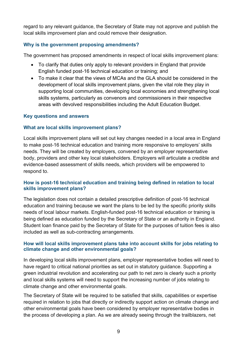regard to any relevant guidance, the Secretary of State may not approve and publish the local skills improvement plan and could remove their designation.

#### **Why is the government proposing amendments?**

The government has proposed amendments in respect of local skills improvement plans:

- To clarify that duties only apply to relevant providers in England that provide English funded post-16 technical education or training; and
- To make it clear that the views of MCAs and the GLA should be considered in the development of local skills improvement plans, given the vital role they play in supporting local communities, developing local economies and strengthening local skills systems, particularly as convenors and commissioners in their respective areas with devolved responsibilities including the Adult Education Budget.

#### **Key questions and answers**

#### **What are local skills improvement plans?**

Local skills improvement plans will set out key changes needed in a local area in England to make post-16 technical education and training more responsive to employers' skills needs. They will be created by employers, convened by an employer representative body, providers and other key local stakeholders. Employers will articulate a credible and evidence-based assessment of skills needs, which providers will be empowered to respond to.

#### **How is post-16 technical education and training being defined in relation to local skills improvement plans?**

The legislation does not contain a detailed prescriptive definition of post-16 technical education and training because we want the plans to be led by the specific priority skills needs of local labour markets. English-funded post-16 technical education or training is being defined as education funded by the Secretary of State or an authority in England. Student loan finance paid by the Secretary of State for the purposes of tuition fees is also included as well as sub-contracting arrangements.

#### **How will local skills improvement plans take into account skills for jobs relating to climate change and other environmental goals?**

In developing local skills improvement plans, employer representative bodies will need to have regard to critical national priorities as set out in statutory guidance. Supporting a green industrial revolution and accelerating our path to net zero is clearly such a priority and local skills systems will need to support the increasing number of jobs relating to climate change and other environmental goals.

The Secretary of State will be required to be satisfied that skills, capabilities or expertise required in relation to jobs that directly or indirectly support action on climate change and other environmental goals have been considered by employer representative bodies in the process of developing a plan. As we are already seeing through the trailblazers, net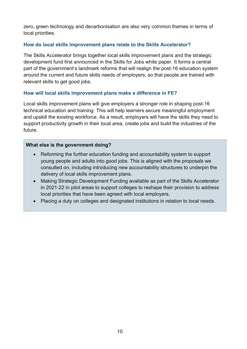zero, green technology and decarbonisation are also very common themes in terms of local priorities.

#### **How do local skills improvement plans relate to the Skills Accelerator?**

The Skills Accelerator brings together local skills improvement plans and the strategic development fund first announced in the Skills for Jobs white paper. It forms a central part of the government's landmark reforms that will realign the post-16 education system around the current and future skills needs of employers, so that people are trained with relevant skills to get good jobs.

#### **How will local skills improvement plans make a difference in FE?**

Local skills improvement plans will give employers a stronger role in shaping post-16 technical education and training. This will help learners secure meaningful employment and upskill the existing workforce. As a result, employers will have the skills they need to support productivity growth in their local area, create jobs and build the industries of the future.

#### **What else is the government doing?**

- Reforming the further education funding and accountability system to support young people and adults into good jobs. This is aligned with the proposals we consulted on, including introducing new accountability structures to underpin the delivery of local skills improvement plans.
- Making Strategic Development Funding available as part of the Skills Accelerator in 2021-22 in pilot areas to support colleges to reshape their provision to address local priorities that have been agreed with local employers.
- Placing a duty on colleges and designated institutions in relation to local needs.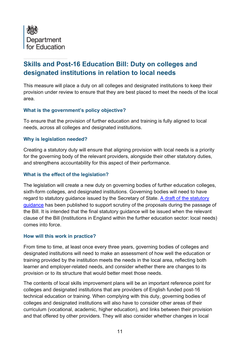<span id="page-10-0"></span>

## **Skills and Post-16 Education Bill: Duty on colleges and designated institutions in relation to local needs**

This measure will place a duty on all colleges and designated institutions to keep their provision under review to ensure that they are best placed to meet the needs of the local area.

#### **What is the government's policy objective?**

To ensure that the provision of further education and training is fully aligned to local needs, across all colleges and designated institutions.

#### **Why is legislation needed?**

Creating a statutory duty will ensure that aligning provision with local needs is a priority for the governing body of the relevant providers, alongside their other statutory duties, and strengthens accountability for this aspect of their performance.

#### **What is the effect of the legislation?**

The legislation will create a new duty on governing bodies of further education colleges, sixth-form colleges, and designated institutions. Governing bodies will need to have regard to statutory guidance issued by the Secretary of State. [A draft of the statutory](https://assets.publishing.service.gov.uk/government/uploads/system/uploads/attachment_data/file/998268/DRAFT_statutory_guidance_-_review_FE_education_and_training_provision.pdf#:~:text=This%20statutory%20guidance%20sets%20out%20key%20principles%20to,training%20provided%20by%20the%20institution%20meets%20local%20needs.)  [guidance](https://assets.publishing.service.gov.uk/government/uploads/system/uploads/attachment_data/file/998268/DRAFT_statutory_guidance_-_review_FE_education_and_training_provision.pdf#:~:text=This%20statutory%20guidance%20sets%20out%20key%20principles%20to,training%20provided%20by%20the%20institution%20meets%20local%20needs.) has been published to support scrutiny of the proposals during the passage of the Bill. It is intended that the final statutory guidance will be issued when the relevant clause of the Bill (Institutions in England within the further education sector: local needs) comes into force.

#### **How will this work in practice?**

From time to time, at least once every three years, governing bodies of colleges and designated institutions will need to make an assessment of how well the education or training provided by the institution meets the needs in the local area, reflecting both learner and employer-related needs, and consider whether there are changes to its provision or to its structure that would better meet those needs.

The contents of local skills improvement plans will be an important reference point for colleges and designated institutions that are providers of English funded post-16 technical education or training. When complying with this duty, governing bodies of colleges and designated institutions will also have to consider other areas of their curriculum (vocational, academic, higher education), and links between their provision and that offered by other providers. They will also consider whether changes in local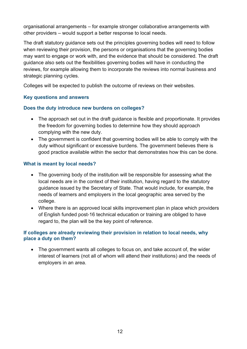organisational arrangements – for example stronger collaborative arrangements with other providers – would support a better response to local needs.

The draft statutory guidance sets out the principles governing bodies will need to follow when reviewing their provision, the persons or organisations that the governing bodies may want to engage or work with, and the evidence that should be considered. The draft guidance also sets out the flexibilities governing bodies will have in conducting the reviews, for example allowing them to incorporate the reviews into normal business and strategic planning cycles.

Colleges will be expected to publish the outcome of reviews on their websites.

#### **Key questions and answers**

#### **Does the duty introduce new burdens on colleges?**

- The approach set out in the draft guidance is flexible and proportionate. It provides the freedom for governing bodies to determine how they should approach complying with the new duty.
- The government is confident that governing bodies will be able to comply with the duty without significant or excessive burdens. The government believes there is good practice available within the sector that demonstrates how this can be done.

#### **What is meant by local needs?**

- The governing body of the institution will be responsible for assessing what the local needs are in the context of their institution, having regard to the statutory guidance issued by the Secretary of State. That would include, for example, the needs of learners and employers in the local geographic area served by the college.
- Where there is an approved local skills improvement plan in place which providers of English funded post-16 technical education or training are obliged to have regard to, the plan will be the key point of reference.

#### **If colleges are already reviewing their provision in relation to local needs, why place a duty on them?**

• The government wants all colleges to focus on, and take account of, the wider interest of learners (not all of whom will attend their institutions) and the needs of employers in an area.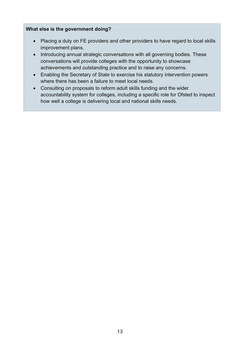#### **What else is the government doing?**

- Placing a duty on FE providers and other providers to have regard to local skills improvement plans.
- Introducing annual strategic conversations with all governing bodies. These conversations will provide colleges with the opportunity to showcase achievements and outstanding practice and to raise any concerns.
- Enabling the Secretary of State to exercise his statutory intervention powers where there has been a failure to meet local needs.
- Consulting on proposals to reform adult skills funding and the wider accountability system for colleges, including a specific role for Ofsted to inspect how well a college is delivering local and national skills needs.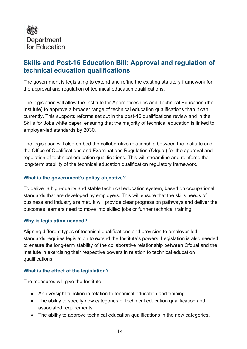<span id="page-13-0"></span>

## **Skills and Post-16 Education Bill: Approval and regulation of technical education qualifications**

The government is legislating to extend and refine the existing statutory framework for the approval and regulation of technical education qualifications.

The legislation will allow the Institute for Apprenticeships and Technical Education (the Institute) to approve a broader range of technical education qualifications than it can currently. This supports reforms set out in the post-16 qualifications review and in the Skills for Jobs white paper, ensuring that the majority of technical education is linked to employer-led standards by 2030.

The legislation will also embed the collaborative relationship between the Institute and the Office of Qualifications and Examinations Regulation (Ofqual) for the approval and regulation of technical education qualifications. This will streamline and reinforce the long-term stability of the technical education qualification regulatory framework.

#### **What is the government's policy objective?**

To deliver a high-quality and stable technical education system, based on occupational standards that are developed by employers. This will ensure that the skills needs of business and industry are met. It will provide clear progression pathways and deliver the outcomes learners need to move into skilled jobs or further technical training.

#### **Why is legislation needed?**

Aligning different types of technical qualifications and provision to employer-led standards requires legislation to extend the Institute's powers. Legislation is also needed to ensure the long-term stability of the collaborative relationship between Ofqual and the Institute in exercising their respective powers in relation to technical education qualifications.

#### **What is the effect of the legislation?**

The measures will give the Institute:

- An oversight function in relation to technical education and training.
- The ability to specify new categories of technical education qualification and associated requirements.
- The ability to approve technical education qualifications in the new categories.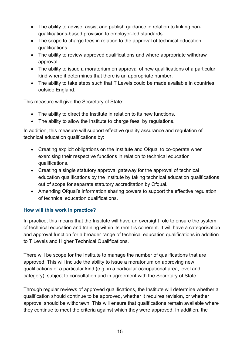- The ability to advise, assist and publish guidance in relation to linking nonqualifications-based provision to employer-led standards.
- The scope to charge fees in relation to the approval of technical education qualifications.
- The ability to review approved qualifications and where appropriate withdraw approval.
- The ability to issue a moratorium on approval of new qualifications of a particular kind where it determines that there is an appropriate number.
- The ability to take steps such that T Levels could be made available in countries outside England.

This measure will give the Secretary of State:

- The ability to direct the Institute in relation to its new functions.
- The ability to allow the Institute to charge fees, by regulations.

In addition, this measure will support effective quality assurance and regulation of technical education qualifications by:

- Creating explicit obligations on the Institute and Ofqual to co-operate when exercising their respective functions in relation to technical education qualifications.
- Creating a single statutory approval gateway for the approval of technical education qualifications by the Institute by taking technical education qualifications out of scope for separate statutory accreditation by Ofqual.
- Amending Ofqual's information sharing powers to support the effective regulation of technical education qualifications.

#### **How will this work in practice?**

In practice, this means that the Institute will have an oversight role to ensure the system of technical education and training within its remit is coherent. It will have a categorisation and approval function for a broader range of technical education qualifications in addition to T Levels and Higher Technical Qualifications.

There will be scope for the Institute to manage the number of qualifications that are approved. This will include the ability to issue a moratorium on approving new qualifications of a particular kind (e.g. in a particular occupational area, level and category), subject to consultation and in agreement with the Secretary of State.

Through regular reviews of approved qualifications, the Institute will determine whether a qualification should continue to be approved, whether it requires revision, or whether approval should be withdrawn. This will ensure that qualifications remain available where they continue to meet the criteria against which they were approved. In addition, the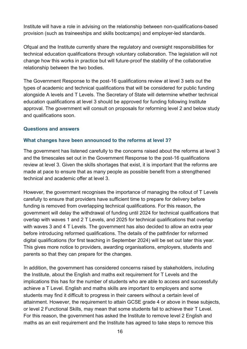Institute will have a role in advising on the relationship between non-qualifications-based provision (such as traineeships and skills bootcamps) and employer-led standards.

Ofqual and the Institute currently share the regulatory and oversight responsibilities for technical education qualifications through voluntary collaboration. The legislation will not change how this works in practice but will future-proof the stability of the collaborative relationship between the two bodies.

The Government Response to the post-16 qualifications review at level 3 sets out the types of academic and technical qualifications that will be considered for public funding alongside A levels and T Levels. The Secretary of State will determine whether technical education qualifications at level 3 should be approved for funding following Institute approval. The government will consult on proposals for reforming level 2 and below study and qualifications soon.

#### **Questions and answers**

#### **What changes have been announced to the reforms at level 3?**

The government has listened carefully to the concerns raised about the reforms at level 3 and the timescales set out in the Government Response to the post-16 qualifications review at level 3. Given the skills shortages that exist, it is important that the reforms are made at pace to ensure that as many people as possible benefit from a strengthened technical and academic offer at level 3.

However, the government recognises the importance of managing the rollout of T Levels carefully to ensure that providers have sufficient time to prepare for delivery before funding is removed from overlapping technical qualifications. For this reason, the government will delay the withdrawal of funding until 2024 for technical qualifications that overlap with waves 1 and 2 T Levels, and 2025 for technical qualifications that overlap with waves 3 and 4 T Levels. The government has also decided to allow an extra year before introducing reformed qualifications. The details of the pathfinder for reformed digital qualifications (for first teaching in September 2024) will be set out later this year. This gives more notice to providers, awarding organisations, employers, students and parents so that they can prepare for the changes.

In addition, the government has considered concerns raised by stakeholders, including the Institute, about the English and maths exit requirement for T Levels and the implications this has for the number of students who are able to access and successfully achieve a T Level. English and maths skills are important to employers and some students may find it difficult to progress in their careers without a certain level of attainment. However, the requirement to attain GCSE grade 4 or above in these subjects, or level 2 Functional Skills, may mean that some students fail to achieve their T Level. For this reason, the government has asked the Institute to remove level 2 English and maths as an exit requirement and the Institute has agreed to take steps to remove this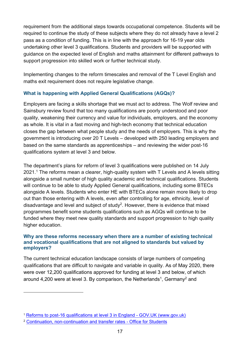requirement from the additional steps towards occupational competence. Students will be required to continue the study of these subjects where they do not already have a level 2 pass as a condition of funding. This is in line with the approach for 16-19 year olds undertaking other level 3 qualifications. Students and providers will be supported with guidance on the expected level of English and maths attainment for different pathways to support progression into skilled work or further technical study.

Implementing changes to the reform timescales and removal of the T Level English and maths exit requirement does not require legislative change.

#### **What is happening with Applied General Qualifications (AGQs)?**

Employers are facing a skills shortage that we must act to address. The Wolf review and Sainsbury review found that too many qualifications are poorly understood and poor quality, weakening their currency and value for individuals, employers, and the economy as whole. It is vital in a fast moving and high-tech economy that technical education closes the gap between what people study and the needs of employers. This is why the government is introducing over 20 T Levels – developed with 250 leading employers and based on the same standards as apprenticeships – and reviewing the wider post-16 qualifications system at level 3 and below.

The department's plans for reform of level 3 qualifications were published on 14 July  $2021<sup>1</sup>$  The reforms mean a clearer, high-quality system with T Levels and A levels sitting alongside a small number of high quality academic and technical qualifications. Students will continue to be able to study Applied General qualifications, including some BTECs alongside A levels. Students who enter HE with BTECs alone remain more likely to drop out than those entering with A levels, even after controlling for age, ethnicity, level of disadvantage and level and subject of study $^2$ . However, there is evidence that mixed programmes benefit some students qualifications such as AGQs will continue to be funded where they meet new quality standards and support progression to high quality higher education.

#### **Why are these reforms necessary when there are a number of existing technical and vocational qualifications that are not aligned to standards but valued by employers?**

The current technical education landscape consists of large numbers of competing qualifications that are difficult to navigate and variable in quality. As of May 2020, there were over 12,200 qualifications approved for funding at level 3 and below, of which around 4,200 were at level 3. By comparison, the Netherlands<sup>1</sup>, Germany<sup>2</sup> and

<sup>1</sup> [Reforms to post-16 qualifications at level 3 in England -](https://www.gov.uk/government/publications/reforms-to-post-16-qualifications-at-level-3-in-england) GOV.UK (www.gov.uk)

<sup>2</sup> [Continuation, non-continuation and transfer rates -](https://www.officeforstudents.org.uk/data-and-analysis/continuation-and-transfer-rates/continuation-non-continuation-and-transfer-rates/) Office for Students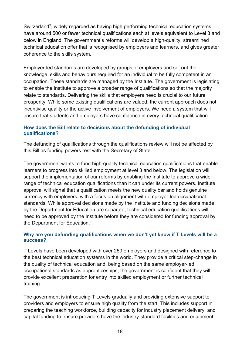Switzerland $^3$ , widely regarded as having high performing technical education systems, have around 500 or fewer technical qualifications each at levels equivalent to Level 3 and below in England. The government's reforms will develop a high-quality, streamlined technical education offer that is recognised by employers and learners, and gives greater coherence to the skills system.

Employer-led standards are developed by groups of employers and set out the knowledge, skills and behaviours required for an individual to be fully competent in an occupation. These standards are managed by the Institute. The government is legislating to enable the Institute to approve a broader range of qualifications so that the majority relate to standards. Delivering the skills that employers need is crucial to our future prosperity. While some existing qualifications are valued, the current approach does not incentivise quality or the active involvement of employers. We need a system that will ensure that students and employers have confidence in every technical qualification.

#### **How does the Bill relate to decisions about the defunding of individual qualifications?**

The defunding of qualifications through the qualifications review will not be affected by this Bill as funding powers rest with the Secretary of State.

The government wants to fund high-quality technical education qualifications that enable learners to progress into skilled employment at level 3 and below. The legislation will support the implementation of our reforms by enabling the Institute to approve a wider range of technical education qualifications than it can under its current powers. Institute approval will signal that a qualification meets the new quality bar and holds genuine currency with employers, with a focus on alignment with employer-led occupational standards. While approval decisions made by the Institute and funding decisions made by the Department for Education are separate, technical education qualifications will need to be approved by the Institute before they are considered for funding approval by the Department for Education.

#### **Why are you defunding qualifications when we don't yet know if T Levels will be a success?**

T Levels have been developed with over 250 employers and designed with reference to the best technical education systems in the world. They provide a critical step-change in the quality of technical education and, being based on the same employer-led occupational standards as apprenticeships, the government is confident that they will provide excellent preparation for entry into skilled employment or further technical training.

The government is introducing T Levels gradually and providing extensive support to providers and employers to ensure high quality from the start. This includes support in preparing the teaching workforce, building capacity for industry placement delivery, and capital funding to ensure providers have the industry-standard facilities and equipment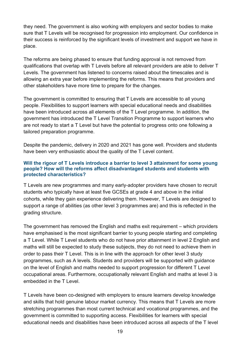they need. The government is also working with employers and sector bodies to make sure that T Levels will be recognised for progression into employment. Our confidence in their success is reinforced by the significant levels of investment and support we have in place.

The reforms are being phased to ensure that funding approval is not removed from qualifications that overlap with T Levels before all relevant providers are able to deliver T Levels. The government has listened to concerns raised about the timescales and is allowing an extra year before implementing the reforms. This means that providers and other stakeholders have more time to prepare for the changes.

The government is committed to ensuring that T Levels are accessible to all young people. Flexibilities to support learners with special educational needs and disabilities have been introduced across all elements of the T Level programme. In addition, the government has introduced the T Level Transition Programme to support learners who are not ready to start a T Level but have the potential to progress onto one following a tailored preparation programme.

Despite the pandemic, delivery in 2020 and 2021 has gone well. Providers and students have been very enthusiastic about the quality of the T Level content.

#### **Will the rigour of T Levels introduce a barrier to level 3 attainment for some young people? How will the reforms affect disadvantaged students and students with protected characteristics?**

T Levels are new programmes and many early-adopter providers have chosen to recruit students who typically have at least five GCSEs at grade 4 and above in the initial cohorts, while they gain experience delivering them. However, T Levels are designed to support a range of abilities (as other level 3 programmes are) and this is reflected in the grading structure.

The government has removed the English and maths exit requirement – which providers have emphasised is the most significant barrier to young people starting and completing a T Level. While T Level students who do not have prior attainment in level 2 English and maths will still be expected to study these subjects, they do not need to achieve them in order to pass their T Level. This is in line with the approach for other level 3 study programmes, such as A levels. Students and providers will be supported with guidance on the level of English and maths needed to support progression for different T Level occupational areas. Furthermore, occupationally relevant English and maths at level 3 is embedded in the T Level.

T Levels have been co-designed with employers to ensure learners develop knowledge and skills that hold genuine labour market currency. This means that T Levels are more stretching programmes than most current technical and vocational programmes, and the government is committed to supporting access. Flexibilities for learners with special educational needs and disabilities have been introduced across all aspects of the T level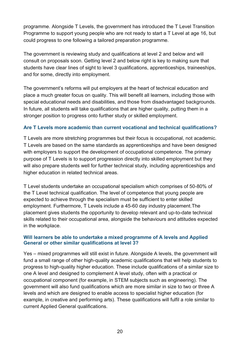programme. Alongside T Levels, the government has introduced the T Level Transition Programme to support young people who are not ready to start a T Level at age 16, but could progress to one following a tailored preparation programme.

The government is reviewing study and qualifications at level 2 and below and will consult on proposals soon. Getting level 2 and below right is key to making sure that students have clear lines of sight to level 3 qualifications, apprenticeships, traineeships, and for some, directly into employment.

The government's reforms will put employers at the heart of technical education and place a much greater focus on quality. This will benefit all learners, including those with special educational needs and disabilities, and those from disadvantaged backgrounds. In future, all students will take qualifications that are higher quality, putting them in a stronger position to progress onto further study or skilled employment.

#### **Are T Levels more academic than current vocational and technical qualifications?**

T Levels are more stretching programmes but their focus is occupational, not academic. T Levels are based on the same standards as apprenticeships and have been designed with employers to support the development of occupational competence. The primary purpose of T Levels is to support progression directly into skilled employment but they will also prepare students well for further technical study, including apprenticeships and higher education in related technical areas.

T Level students undertake an occupational specialism which comprises of 50-80% of the T Level technical qualification. The level of competence that young people are expected to achieve through the specialism must be sufficient to enter skilled employment. Furthermore, T Levels include a 45-60 day industry placement.The placement gives students the opportunity to develop relevant and up-to-date technical skills related to their occupational area, alongside the behaviours and attitudes expected in the workplace.

#### **Will learners be able to undertake a mixed programme of A levels and Applied General or other similar qualifications at level 3?**

Yes – mixed programmes will still exist in future. Alongside A levels, the government will fund a small range of other high-quality academic qualifications that will help students to progress to high-quality higher education. These include qualifications of a similar size to one A level and designed to complement A level study, often with a practical or occupational component (for example, in STEM subjects such as engineering). The government will also fund qualifications which are more similar in size to two or three A levels and which are designed to enable access to specialist higher education (for example, in creative and performing arts). These qualifications will fulfil a role similar to current Applied General qualifications.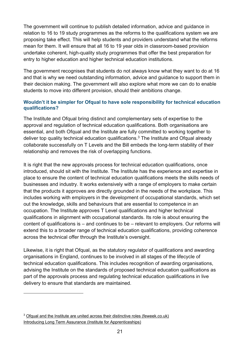The government will continue to publish detailed information, advice and guidance in relation to 16 to 19 study programmes as the reforms to the qualifications system we are proposing take effect. This will help students and providers understand what the reforms mean for them. It will ensure that all 16 to 19 year olds in classroom-based provision undertake coherent, high-quality study programmes that offer the best preparation for entry to higher education and higher technical education institutions.

The government recognises that students do not always know what they want to do at 16 and that is why we need outstanding information, advice and guidance to support them in their decision making. The government will also explore what more we can do to enable students to move into different provision, should their ambitions change.

#### **Wouldn't it be simpler for Ofqual to have sole responsibility for technical education qualifications?**

The Institute and Ofqual bring distinct and complementary sets of expertise to the approval and regulation of technical education qualifications. Both organisations are essential, and both Ofqual and the Institute are fully committed to working together to deliver top quality technical education qualifications.<sup>3</sup> The Institute and Ofqual already collaborate successfully on T Levels and the Bill embeds the long-term stability of their relationship and removes the risk of overlapping functions.

It is right that the new approvals process for technical education qualifications, once introduced, should sit with the Institute. The Institute has the experience and expertise in place to ensure the content of technical education qualifications meets the skills needs of businesses and industry. It works extensively with a range of employers to make certain that the products it approves are directly grounded in the needs of the workplace. This includes working with employers in the development of occupational standards, which set out the knowledge, skills and behaviours that are essential to competence in an occupation. The Institute approves T Level qualifications and higher technical qualifications in alignment with occupational standards. Its role is about ensuring the content of qualifications is – and continues to be – relevant to employers. Our reforms will extend this to a broader range of technical education qualifications, providing coherence across the technical offer through the Institute's oversight.

Likewise, it is right that Ofqual, as the statutory regulator of qualifications and awarding organisations in England, continues to be involved in all stages of the lifecycle of technical education qualifications. This includes recognition of awarding organisations, advising the Institute on the standards of proposed technical education qualifications as part of the approvals process and regulating technical education qualifications in live delivery to ensure that standards are maintained.

<sup>&</sup>lt;sup>3</sup> [Ofqual and the Institute are united across their distinctive roles \(feweek.co.uk\)](https://feweek.co.uk/the-skills-bill-reaffirms-the-distinctive-roles-of-ofqual-and-the-institute/) [Introducing Long Term Assurance](https://api.instituteforapprenticeships.org/quality/long-term-assurance-of-technical-qualifications/) (Institute for Apprenticeships)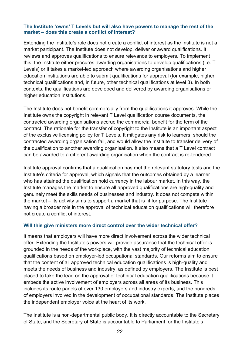#### **The Institute 'owns' T Levels but will also have powers to manage the rest of the market – does this create a conflict of interest?**

Extending the Institute's role does not create a conflict of interest as the Institute is not a market participant. The Institute does not develop, deliver or award qualifications. It reviews and approves qualifications to ensure relevance to employers. To implement this, the Institute either procures awarding organisations to develop qualifications (i.e. T Levels) or it takes a market-led approach where awarding organisations and higher education institutions are able to submit qualifications for approval (for example, higher technical qualifications and, in future, other technical qualifications at level 3). In both contexts, the qualifications are developed and delivered by awarding organisations or higher education institutions.

The Institute does not benefit commercially from the qualifications it approves. While the Institute owns the copyright in relevant T Level qualification course documents, the contracted awarding organisations accrue the commercial benefit for the term of the contract. The rationale for the transfer of copyright to the Institute is an important aspect of the exclusive licensing policy for T Levels. It mitigates any risk to learners, should the contracted awarding organisation fail, and would allow the Institute to transfer delivery of the qualification to another awarding organisation. It also means that a T Level contract can be awarded to a different awarding organisation when the contract is re-tendered.

Institute approval confirms that a qualification has met the relevant statutory tests and the Institute's criteria for approval, which signals that the outcomes obtained by a learner who has attained the qualification hold currency in the labour market. In this way, the Institute manages the market to ensure all approved qualifications are high-quality and genuinely meet the skills needs of businesses and industry. It does not compete within the market – its activity aims to support a market that is fit for purpose. The Institute having a broader role in the approval of technical education qualifications will therefore not create a conflict of interest.

#### **Will this give ministers more direct control over the wider technical offer?**

It means that employers will have more direct involvement across the wider technical offer. Extending the Institute's powers will provide assurance that the technical offer is grounded in the needs of the workplace, with the vast majority of technical education qualifications based on employer-led occupational standards. Our reforms aim to ensure that the content of all approved technical education qualifications is high-quality and meets the needs of business and industry, as defined by employers. The Institute is best placed to take the lead on the approval of technical education qualifications because it embeds the active involvement of employers across all areas of its business. This includes its route panels of over 130 employers and industry experts, and the hundreds of employers involved in the development of occupational standards. The Institute places the independent employer voice at the heart of its work.

The Institute is a non-departmental public body. It is directly accountable to the Secretary of State, and the Secretary of State is accountable to Parliament for the Institute's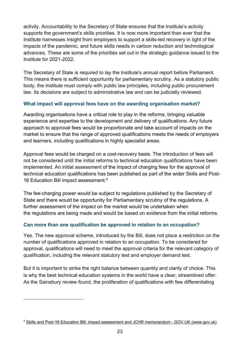activity. Accountability to the Secretary of State ensures that the Institute's activity supports the government's skills priorities. It is now more important than ever that the Institute harnesses insight from employers to support a skills-led recovery in light of the impacts of the pandemic, and future skills needs in carbon reduction and technological advances. These are some of the priorities set out in the strategic guidance issued to the Institute for 2021-2022.

The Secretary of State is required to lay the Institute's annual report before Parliament. This means there is sufficient opportunity for parliamentary scrutiny. As a statutory public body, the Institute must comply with public law principles, including public procurement law. Its decisions are subject to administrative law and can be judicially reviewed.

#### **What impact will approval fees have on the awarding organisation market?**

Awarding organisations have a critical role to play in the reforms, bringing valuable experience and expertise to the development and delivery of qualifications. Any future approach to approval fees would be proportionate and take account of impacts on the market to ensure that the range of approved qualifications meets the needs of employers and learners, including qualifications in highly specialist areas.

Approval fees would be charged on a cost-recovery basis. The introduction of fees will not be considered until the initial reforms to technical education qualifications have been implemented. An initial assessment of the impact of charging fees for the approval of technical education qualifications has been published as part of the wider Skills and Post-16 Education Bill impact assessment.<sup>4</sup>

The fee-charging power would be subject to regulations published by the Secretary of State and there would be opportunity for Parliamentary scrutiny of the regulations. A further assessment of the impact on the market would be undertaken when the regulations are being made and would be based on evidence from the initial reforms.

#### **Can more than one qualification be approved in relation to an occupation?**

Yes. The new approval scheme, introduced by the Bill, does not place a restriction on the number of qualifications approved in relation to an occupation. To be considered for approval, qualifications will need to meet the approval criteria for the relevant category of qualification, including the relevant statutory test and employer demand test.

But it is important to strike the right balance between quantity and clarity of choice. This is why the best technical education systems in the world have a clear, streamlined offer. As the Sainsbury review found, the proliferation of qualifications with few differentiating

<sup>4</sup> [Skills and Post-16 Education Bill: impact assessment and JCHR memorandum -](https://www.gov.uk/government/publications/skills-and-post-16-education-bill-impact-assessment-and-jchr-memorandum) GOV.UK (www.gov.uk)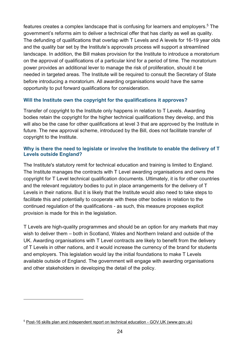features creates a complex landscape that is confusing for learners and employers.<sup>5</sup> The government's reforms aim to deliver a technical offer that has clarity as well as quality. The defunding of qualifications that overlap with T Levels and A levels for 16-19 year olds and the quality bar set by the Institute's approvals process will support a streamlined landscape. In addition, the Bill makes provision for the Institute to introduce a moratorium on the approval of qualifications of a particular kind for a period of time. The moratorium power provides an additional lever to manage the risk of proliferation, should it be needed in targeted areas. The Institute will be required to consult the Secretary of State before introducing a moratorium. All awarding organisations would have the same opportunity to put forward qualifications for consideration.

#### **Will the Institute own the copyright for the qualifications it approves?**

Transfer of copyright to the Institute only happens in relation to T Levels. Awarding bodies retain the copyright for the higher technical qualifications they develop, and this will also be the case for other qualifications at level 3 that are approved by the Institute in future. The new approval scheme, introduced by the Bill, does not facilitate transfer of copyright to the Institute.

#### **Why is there the need to legislate or involve the Institute to enable the delivery of T Levels outside England?**

The Institute's statutory remit for technical education and training is limited to England. The Institute manages the contracts with T Level awarding organisations and owns the copyright for T Level technical qualification documents. Ultimately, it is for other countries and the relevant regulatory bodies to put in place arrangements for the delivery of T Levels in their nations. But it is likely that the Institute would also need to take steps to facilitate this and potentially to cooperate with these other bodies in relation to the continued regulation of the qualifications - as such, this measure proposes explicit provision is made for this in the legislation.

T Levels are high-quality programmes and should be an option for any markets that may wish to deliver them – both in Scotland, Wales and Northern Ireland and outside of the UK. Awarding organisations with T Level contracts are likely to benefit from the delivery of T Levels in other nations, and it would increase the currency of the brand for students and employers. This legislation would lay the initial foundations to make T Levels available outside of England. The government will engage with awarding organisations and other stakeholders in developing the detail of the policy.

<sup>5</sup> [Post-16 skills plan and independent report on technical education -](https://www.gov.uk/government/publications/post-16-skills-plan-and-independent-report-on-technical-education) GOV.UK (www.gov.uk)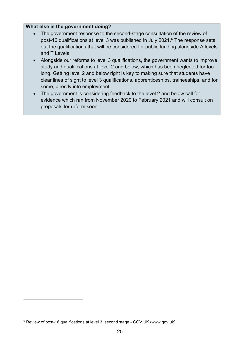#### **What else is the government doing?**

- The government response to the second-stage consultation of the review of post-16 qualifications at level 3 was published in July 2021.<sup>6</sup> The response sets out the qualifications that will be considered for public funding alongside A levels and T Levels.
- Alongside our reforms to level 3 qualifications, the government wants to improve study and qualifications at level 2 and below, which has been neglected for too long. Getting level 2 and below right is key to making sure that students have clear lines of sight to level 3 qualifications, apprenticeships, traineeships, and for some, directly into employment.
- The government is considering feedback to the level 2 and below call for evidence which ran from November 2020 to February 2021 and will consult on proposals for reform soon.

<sup>6</sup> [Review of post-16 qualifications at level 3: second stage -](https://www.gov.uk/government/consultations/review-of-post-16-qualifications-at-level-3-second-stage) GOV.UK (www.gov.uk)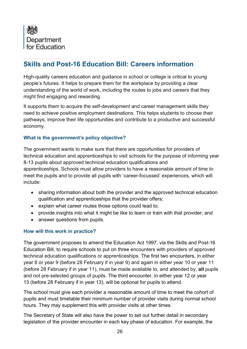<span id="page-25-0"></span>

## **Skills and Post-16 Education Bill: Careers information**

High-quality careers education and guidance in school or college is critical to young people's futures. It helps to prepare them for the workplace by providing a clear understanding of the world of work, including the routes to jobs and careers that they might find engaging and rewarding.

It supports them to acquire the self-development and career management skills they need to achieve positive employment destinations. This helps students to choose their pathways, improve their life opportunities and contribute to a productive and successful economy.

#### **What is the government's policy objective?**

The government wants to make sure that there are opportunities for providers of technical education and apprenticeships to visit schools for the purpose of informing year 8-13 pupils about approved technical education qualifications and apprenticeships. Schools must allow providers to have a reasonable amount of time to meet the pupils and to provide all pupils with 'career-focussed' experiences, which will include:

- sharing information about both the provider and the approved technical education qualification and apprenticeships that the provider offers;
- explain what career routes those options could lead to;
- provide insights into what it might be like to learn or train with that provider; and
- answer questions from pupils.

#### **How will this work in practice?**

The government proposes to amend the Education Act 1997, via the Skills and Post-16 Education Bill, to require schools to put on three encounters with providers of approved technical education qualifications or apprenticeships. The first two encounters, in either year 8 or year 9 (before 28 February if in year 9) and again in either year 10 or year 11 (before 28 February if in year 11), must be made available to, and attended by, **all** pupils and not pre-selected groups of pupils. The third encounter, in either year 12 or year 13 (before 28 February if in year 13), will be optional for pupils to attend.

The school must give each provider a reasonable amount of time to meet the cohort of pupils and must timetable their minimum number of provider visits during normal school hours. They may supplement this with provider visits at other times.

The Secretary of State will also have the power to set out further detail in secondary legislation of the provider encounter in each key phase of education. For example, the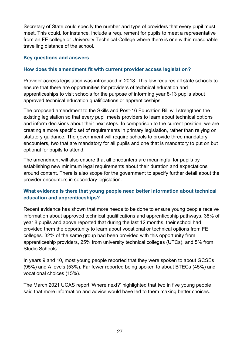Secretary of State could specify the number and type of providers that every pupil must meet. This could, for instance, include a requirement for pupils to meet a representative from an FE college or University Technical College where there is one within reasonable travelling distance of the school.

#### **Key questions and answers**

#### **How does this amendment fit with current provider access legislation?**

Provider access legislation was introduced in 2018. This law requires all state schools to ensure that there are opportunities for providers of technical education and apprenticeships to visit schools for the purpose of informing year 8-13 pupils about approved technical education qualifications or apprenticeships.

The proposed amendment to the Skills and Post-16 Education Bill will strengthen the existing legislation so that every pupil meets providers to learn about technical options and inform decisions about their next steps. In comparison to the current position, we are creating a more specific set of requirements in primary legislation, rather than relying on statutory guidance. The government will require schools to provide three mandatory encounters, two that are mandatory for all pupils and one that is mandatory to put on but optional for pupils to attend.

The amendment will also ensure that all encounters are meaningful for pupils by establishing new minimum legal requirements about their duration and expectations around content. There is also scope for the government to specify further detail about the provider encounters in secondary legislation.

#### **What evidence is there that young people need better information about technical education and apprenticeships?**

Recent evidence has shown that more needs to be done to ensure young people receive information about approved technical qualifications and apprenticeship pathways. 38% of year 8 pupils and above reported that during the last 12 months, their school had provided them the opportunity to learn about vocational or technical options from FE colleges. 32% of the same group had been provided with this opportunity from apprenticeship providers, 25% from university technical colleges (UTCs), and 5% from Studio Schools.

In years 9 and 10, most young people reported that they were spoken to about GCSEs (95%) and A levels (53%). Far fewer reported being spoken to about BTECs (45%) and vocational choices (15%).

The March 2021 UCAS report 'Where next?' highlighted that two in five young people said that more information and advice would have led to them making better choices.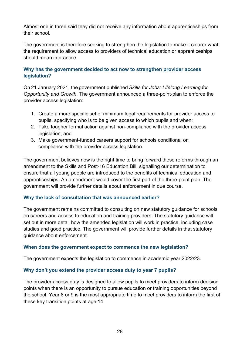Almost one in three said they did not receive any information about apprenticeships from their school.

The government is therefore seeking to strengthen the legislation to make it clearer what the requirement to allow access to providers of technical education or apprenticeships should mean in practice.

#### **Why has the government decided to act now to strengthen provider access legislation?**

On 21 January 2021, the government published *Skills for Jobs: Lifelong Learning for Opportunity and Growth*. The government announced a three-point-plan to enforce the provider access legislation:

- 1. Create a more specific set of minimum legal requirements for provider access to pupils, specifying who is to be given access to which pupils and when;
- 2. Take tougher formal action against non-compliance with the provider access legislation; and
- 3. Make government-funded careers support for schools conditional on compliance with the provider access legislation.

The government believes now is the right time to bring forward these reforms through an amendment to the Skills and Post-16 Education Bill, signalling our determination to ensure that all young people are introduced to the benefits of technical education and apprenticeships. An amendment would cover the first part of the three-point plan. The government will provide further details about enforcement in due course.

#### **Why the lack of consultation that was announced earlier?**

The government remains committed to consulting on new statutory guidance for schools on careers and access to education and training providers. The statutory guidance will set out in more detail how the amended legislation will work in practice, including case studies and good practice. The government will provide further details in that statutory guidance about enforcement.

#### **When does the government expect to commence the new legislation?**

The government expects the legislation to commence in academic year 2022/23.

#### **Why don't you extend the provider access duty to year 7 pupils?**

The provider access duty is designed to allow pupils to meet providers to inform decision points when there is an opportunity to pursue education or training opportunities beyond the school. Year 8 or 9 is the most appropriate time to meet providers to inform the first of these key transition points at age 14.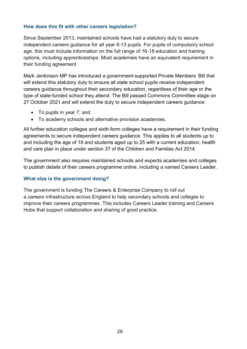#### **How does this fit with other careers legislation?**

Since September 2013, maintained schools have had a statutory duty to secure independent careers guidance for all year 8-13 pupils. For pupils of compulsory school age, this must include information on the full range of 16-18 education and training options, including apprenticeships. Most academies have an equivalent requirement in their funding agreement.

Mark Jenkinson MP has introduced a government-supported Private Members' Bill that will extend this statutory duty to ensure all state school pupils receive independent careers guidance throughout their secondary education, regardless of their age or the type of state-funded school they attend. The Bill passed Commons Committee stage on 27 October 2021 and will extend the duty to secure independent careers guidance:

- To pupils in year 7; and
- To academy schools and alternative provision academies.

All further education colleges and sixth-form colleges have a requirement in their funding agreements to secure independent careers guidance. This applies to all students up to and including the age of 18 and students aged up to 25 with a current education, health and care plan in place under section 37 of the Children and Families Act 2014.

The government also requires maintained schools and expects academies and colleges to publish details of their careers programme online, including a named Careers Leader.

#### **What else is the government doing?**

The government is funding The Careers & Enterprise Company to roll out a careers infrastructure across England to help secondary schools and colleges to improve their careers programmes. This includes Careers Leader training and Careers Hubs that support collaboration and sharing of good practice.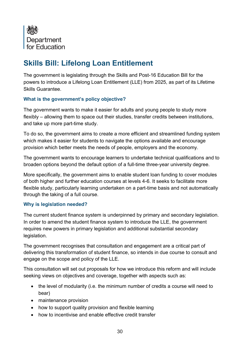<span id="page-29-0"></span>

# **Skills Bill: Lifelong Loan Entitlement**

The government is legislating through the Skills and Post-16 Education Bill for the powers to introduce a Lifelong Loan Entitlement (LLE) from 2025, as part of its Lifetime Skills Guarantee.

#### **What is the government's policy objective?**

The government wants to make it easier for adults and young people to study more flexibly – allowing them to space out their studies, transfer credits between institutions, and take up more part-time study.

To do so, the government aims to create a more efficient and streamlined funding system which makes it easier for students to navigate the options available and encourage provision which better meets the needs of people, employers and the economy.

The government wants to encourage learners to undertake technical qualifications and to broaden options beyond the default option of a full-time three-year university degree.

More specifically, the government aims to enable student loan funding to cover modules of both higher and further education courses at levels 4-6. It seeks to facilitate more flexible study, particularly learning undertaken on a part-time basis and not automatically through the taking of a full course.

#### **Why is legislation needed?**

The current student finance system is underpinned by primary and secondary legislation. In order to amend the student finance system to introduce the LLE, the government requires new powers in primary legislation and additional substantial secondary legislation.

The government recognises that consultation and engagement are a critical part of delivering this transformation of student finance, so intends in due course to consult and engage on the scope and policy of the LLE.

This consultation will set out proposals for how we introduce this reform and will include seeking views on objectives and coverage, together with aspects such as:

- the level of modularity (i.e. the minimum number of credits a course will need to bear)
- maintenance provision
- how to support quality provision and flexible learning
- how to incentivise and enable effective credit transfer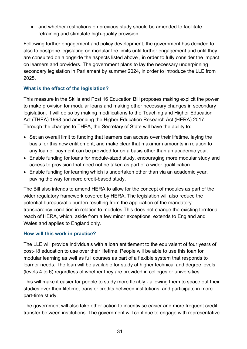• and whether restrictions on previous study should be amended to facilitate retraining and stimulate high-quality provision.

Following further engagement and policy development, the government has decided to also to postpone legislating on modular fee limits until further engagement and until they are consulted on alongside the aspects listed above , in order to fully consider the impact on learners and providers. The government plans to lay the necessary underpinning secondary legislation in Parliament by summer 2024, in order to introduce the LLE from 2025.

#### **What is the effect of the legislation?**

This measure in the Skills and Post 16 Education Bill proposes making explicit the power to make provision for modular loans and making other necessary changes in secondary legislation. It will do so by making modifications to the Teaching and Higher Education Act (THEA) 1998 and amending the Higher Education Research Act (HERA) 2017. Through the changes to THEA, the Secretary of State will have the ability to:

- Set an overall limit to funding that learners can access over their lifetime, laying the basis for this new entitlement, and make clear that maximum amounts in relation to any loan or payment can be provided for on a basis other than an academic year.
- Enable funding for loans for module-sized study, encouraging more modular study and access to provision that need not be taken as part of a wider qualification.
- Enable funding for learning which is undertaken other than via an academic year, paving the way for more credit-based study.

The Bill also intends to amend HERA to allow for the concept of modules as part of the wider regulatory framework covered by HERA. The legislation will also reduce the potential bureaucratic burden resulting from the application of the mandatory transparency condition in relation to modules This does not change the existing territorial reach of HERA, which, aside from a few minor exceptions, extends to England and Wales and applies to England only.

#### **How will this work in practice?**

The LLE will provide individuals with a loan entitlement to the equivalent of four years of post-18 education to use over their lifetime. People will be able to use this loan for modular learning as well as full courses as part of a flexible system that responds to learner needs. The loan will be available for study at higher technical and degree levels (levels 4 to 6) regardless of whether they are provided in colleges or universities.

This will make it easier for people to study more flexibly - allowing them to space out their studies over their lifetime, transfer credits between institutions, and participate in more part-time study.

The government will also take other action to incentivise easier and more frequent credit transfer between institutions. The government will continue to engage with representative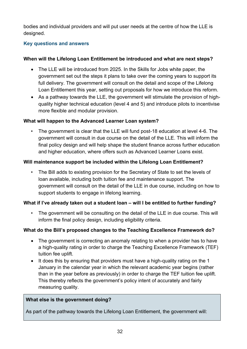bodies and individual providers and will put user needs at the centre of how the LLE is designed.

#### **Key questions and answers**

#### **When will the Lifelong Loan Entitlement be introduced and what are next steps?**

- The LLE will be introduced from 2025. In the Skills for Jobs white paper, the government set out the steps it plans to take over the coming years to support its full delivery. The government will consult on the detail and scope of the Lifelong Loan Entitlement this year, setting out proposals for how we introduce this reform.
- As a pathway towards the LLE, the government will stimulate the provision of highquality higher technical education (level 4 and 5) and introduce pilots to incentivise more flexible and modular provision.

#### **What will happen to the Advanced Learner Loan system?**

• The government is clear that the LLE will fund post-18 education at level 4-6. The government will consult in due course on the detail of the LLE. This will inform the final policy design and will help shape the student finance across further education and higher education, where offers such as Advanced Learner Loans exist.

#### **Will maintenance support be included within the Lifelong Loan Entitlement?**

• The Bill adds to existing provision for the Secretary of State to set the levels of loan available, including both tuition fee and maintenance support. The government will consult on the detail of the LLE in due course, including on how to support students to engage in lifelong learning.

#### **What if I've already taken out a student loan – will I be entitled to further funding?**

The government will be consulting on the detail of the LLE in due course. This will inform the final policy design, including eligibility criteria.

#### **What do the Bill's proposed changes to the Teaching Excellence Framework do?**

- The government is correcting an anomaly relating to when a provider has to have a high-quality rating in order to charge the Teaching Excellence Framework (TEF) tuition fee uplift.
- It does this by ensuring that providers must have a high-quality rating on the 1 January in the calendar year in which the relevant academic year begins (rather than in the year before as previously) in order to charge the TEF tuition fee uplift. This thereby reflects the government's policy intent of accurately and fairly measuring quality.

#### **What else is the government doing?**

As part of the pathway towards the Lifelong Loan Entitlement, the government will: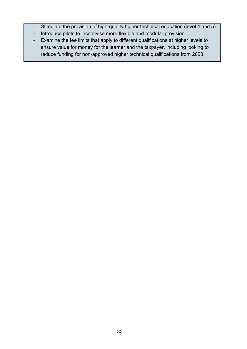- Stimulate the provision of high-quality higher technical education (level 4 and 5).
- Introduce pilots to incentivise more flexible and modular provision.
- Examine the fee limits that apply to different qualifications at higher levels to ensure value for money for the learner and the taxpayer, including looking to reduce funding for non-approved higher technical qualifications from 2023.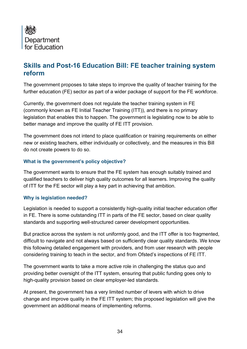

## <span id="page-33-0"></span>**Skills and Post-16 Education Bill: FE teacher training system reform**

The government proposes to take steps to improve the quality of teacher training for the further education (FE) sector as part of a wider package of support for the FE workforce.

Currently, the government does not regulate the teacher training system in FE (commonly known as FE Initial Teacher Training (ITT)), and there is no primary legislation that enables this to happen. The government is legislating now to be able to better manage and improve the quality of FE ITT provision.

The government does not intend to place qualification or training requirements on either new or existing teachers, either individually or collectively, and the measures in this Bill do not create powers to do so.

#### **What is the government's policy objective?**

The government wants to ensure that the FE system has enough suitably trained and qualified teachers to deliver high quality outcomes for all learners. Improving the quality of ITT for the FE sector will play a key part in achieving that ambition.

#### **Why is legislation needed?**

Legislation is needed to support a consistently high-quality initial teacher education offer in FE. There is some outstanding ITT in parts of the FE sector, based on clear quality standards and supporting well-structured career development opportunities.

But practice across the system is not uniformly good, and the ITT offer is too fragmented, difficult to navigate and not always based on sufficiently clear quality standards. We know this following detailed engagement with providers, and from user research with people considering training to teach in the sector, and from Ofsted's inspections of FE ITT.

The government wants to take a more active role in challenging the status quo and providing better oversight of the ITT system, ensuring that public funding goes only to high-quality provision based on clear employer-led standards.

At present, the government has a very limited number of levers with which to drive change and improve quality in the FE ITT system; this proposed legislation will give the government an additional means of implementing reforms.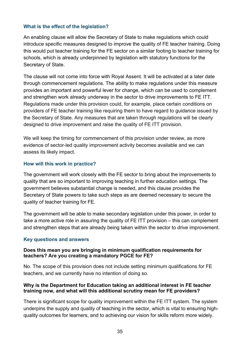#### **What is the effect of the legislation?**

An enabling clause will allow the Secretary of State to make regulations which could introduce specific measures designed to improve the quality of FE teacher training. Doing this would put teacher training for the FE sector on a similar footing to teacher training for schools, which is already underpinned by legislation with statutory functions for the Secretary of State.

The clause will not come into force with Royal Assent. It will be activated at a later date through commencement regulations. The ability to make regulations under this measure provides an important and powerful lever for change, which can be used to complement and strengthen work already underway in the sector to drive improvements to FE ITT. Regulations made under this provision could, for example, place certain conditions on providers of FE teacher training like requiring them to have regard to guidance issued by the Secretary of State. Any measures that are taken through regulations will be clearly designed to drive improvement and raise the quality of FE ITT provision.

We will keep the timing for commencement of this provision under review, as more evidence of sector-led quality improvement activity becomes available and we can assess its likely impact.

#### **How will this work in practice?**

The government will work closely with the FE sector to bring about the improvements to quality that are so important to improving teaching in further education settings. The government believes substantial change is needed, and this clause provides the Secretary of State powers to take such steps as are deemed necessary to secure the quality of teacher training for FE.

The government will be able to make secondary legislation under this power, in order to take a more active role in assuring the quality of FE ITT provision – this can complement and strengthen steps that are already being taken within the sector to drive improvement.

#### **Key questions and answers**

#### **Does this mean you are bringing in minimum qualification requirements for teachers? Are you creating a mandatory PGCE for FE?**

No. The scope of this provision does not include setting minimum qualifications for FE teachers, and we currently have no intention of doing so.

#### **Why is the Department for Education taking an additional interest in FE teacher training now, and what will this additional scrutiny mean for FE providers?**

There is significant scope for quality improvement within the FE ITT system. The system underpins the supply and quality of teaching in the sector, which is vital to ensuring highquality outcomes for learners, and to achieving our vision for skills reform more widely.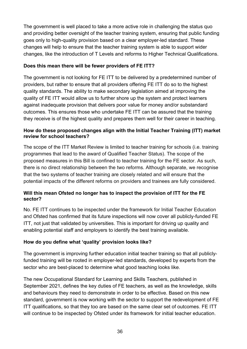The government is well placed to take a more active role in challenging the status quo and providing better oversight of the teacher training system, ensuring that public funding goes only to high-quality provision based on a clear employer-led standard. These changes will help to ensure that the teacher training system is able to support wider changes, like the introduction of T Levels and reforms to Higher Technical Qualifications.

#### **Does this mean there will be fewer providers of FE ITT?**

The government is not looking for FE ITT to be delivered by a predetermined number of providers, but rather to ensure that all providers offering FE ITT do so to the highest quality standards. The ability to make secondary legislation aimed at improving the quality of FE ITT would allow us to further shore up the system and protect learners against inadequate provision that delivers poor value for money and/or substandard outcomes. This ensures those who undertake FE ITT can be assured that the training they receive is of the highest quality and prepares them well for their career in teaching.

#### **How do these proposed changes align with the Initial Teacher Training (ITT) market review for school teachers?**

The scope of the ITT Market Review is limited to teacher training for schools (i.e. training programmes that lead to the award of Qualified Teacher Status). The scope of the proposed measures in this Bill is confined to teacher training for the FE sector. As such, there is no direct relationship between the two reforms. Although separate, we recognise that the two systems of teacher training are closely related and will ensure that the potential impacts of the different reforms on providers and trainees are fully considered.

#### **Will this mean Ofsted no longer has to inspect the provision of ITT for the FE sector?**

No. FE ITT continues to be inspected under the framework for Initial Teacher Education and Ofsted has confirmed that its future inspections will now cover all publicly-funded FE ITT, not just that validated by universities. This is important for driving up quality and enabling potential staff and employers to identify the best training available.

#### **How do you define what 'quality' provision looks like?**

The government is improving further education initial teacher training so that all publiclyfunded training will be rooted in employer-led standards, developed by experts from the sector who are best-placed to determine what good teaching looks like.

The new Occupational Standard for Learning and Skills Teachers, published in September 2021, defines the key duties of FE teachers, as well as the knowledge, skills and behaviours they need to demonstrate in order to be effective. Based on this new standard, government is now working with the sector to support the redevelopment of FE ITT qualifications, so that they too are based on the same clear set of outcomes. FE ITT will continue to be inspected by Ofsted under its framework for initial teacher education.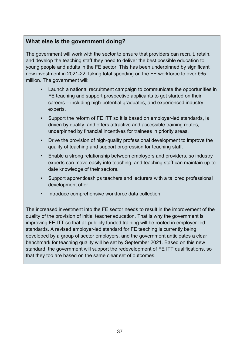# **What else is the government doing?**

The government will work with the sector to ensure that providers can recruit, retain, and develop the teaching staff they need to deliver the best possible education to young people and adults in the FE sector. This has been underpinned by significant new investment in 2021-22, taking total spending on the FE workforce to over £65 million. The government will:

- Launch a national recruitment campaign to communicate the opportunities in FE teaching and support prospective applicants to get started on their careers – including high-potential graduates, and experienced industry experts.
- Support the reform of FE ITT so it is based on employer-led standards, is driven by quality, and offers attractive and accessible training routes, underpinned by financial incentives for trainees in priority areas.
- Drive the provision of high-quality professional development to improve the quality of teaching and support progression for teaching staff.
- Enable a strong relationship between employers and providers, so industry experts can move easily into teaching, and teaching staff can maintain up-todate knowledge of their sectors.
- Support apprenticeships teachers and lecturers with a tailored professional development offer.
- Introduce comprehensive workforce data collection.

The increased investment into the FE sector needs to result in the improvement of the quality of the provision of initial teacher education. That is why the government is improving FE ITT so that all publicly funded training will be rooted in employer-led standards. A revised employer-led standard for FE teaching is currently being developed by a group of sector employers, and the government anticipates a clear benchmark for teaching quality will be set by September 2021. Based on this new standard, the government will support the redevelopment of FE ITT qualifications, so that they too are based on the same clear set of outcomes.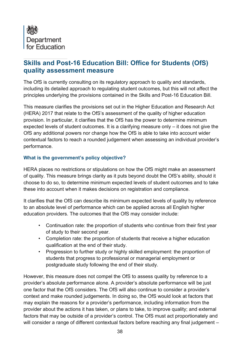

# **Skills and Post-16 Education Bill: Office for Students (OfS) quality assessment measure**

The OfS is currently consulting on its regulatory approach to quality and standards, including its detailed approach to regulating student outcomes, but this will not affect the principles underlying the provisions contained in the Skills and Post-16 Education Bill.

This measure clarifies the provisions set out in the Higher Education and Research Act (HERA) 2017 that relate to the OfS's assessment of the quality of higher education provision. In particular, it clarifies that the OfS has the power to determine minimum expected levels of student outcomes. It is a clarifying measure only – it does not give the OfS any additional powers nor change how the OfS is able to take into account wider contextual factors to reach a rounded judgement when assessing an individual provider's performance.

### **What is the government's policy objective?**

HERA places no restrictions or stipulations on how the OfS might make an assessment of quality. This measure brings clarity as it puts beyond doubt the OfS's ability, should it choose to do so, to determine minimum expected levels of student outcomes and to take these into account when it makes decisions on registration and compliance.

It clarifies that the OfS can describe its minimum expected levels of quality by reference to an absolute level of performance which can be applied across all English higher education providers. The outcomes that the OfS may consider include:

- Continuation rate: the proportion of students who continue from their first year of study to their second year.
- Completion rate: the proportion of students that receive a higher education qualification at the end of their study.
- Progression to further study or highly skilled employment: the proportion of students that progress to professional or managerial employment or postgraduate study following the end of their study.

However, this measure does not compel the OfS to assess quality by reference to a provider's absolute performance alone. A provider's absolute performance will be just one factor that the OfS considers. The OfS will also continue to consider a provider's context and make rounded judgements. In doing so, the OfS would look at factors that may explain the reasons for a provider's performance, including information from the provider about the actions it has taken, or plans to take, to improve quality; and external factors that may be outside of a provider's control. The OfS must act proportionately and will consider a range of different contextual factors before reaching any final judgement –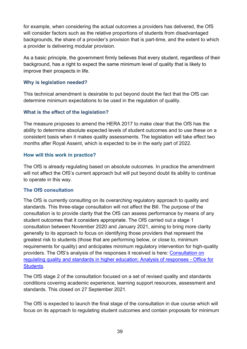for example, when considering the actual outcomes a providers has delivered, the OfS will consider factors such as the relative proportions of students from disadvantaged backgrounds, the share of a provider's provision that is part-time, and the extent to which a provider is delivering modular provision.

As a basic principle, the government firmly believes that every student, regardless of their background, has a right to expect the same minimum level of quality that is likely to improve their prospects in life.

#### **Why is legislation needed?**

This technical amendment is desirable to put beyond doubt the fact that the OfS can determine minimum expectations to be used in the regulation of quality.

### **What is the effect of the legislation?**

The measure proposes to amend the HERA 2017 to make clear that the OfS has the ability to determine absolute expected levels of student outcomes and to use these on a consistent basis when it makes quality assessments. The legislation will take effect two months after Royal Assent, which is expected to be in the early part of 2022.

#### **How will this work in practice?**

The OfS is already regulating based on absolute outcomes. In practice the amendment will not affect the OfS's current approach but will put beyond doubt its ability to continue to operate in this way.

# **The OfS consultation**

The OfS is currently consulting on its overarching regulatory approach to quality and standards. This three-stage consultation will not affect the Bill. The purpose of the consultation is to provide clarity that the OfS can assess performance by means of any student outcomes that it considers appropriate. The OfS carried out a stage 1 consultation between November 2020 and January 2021, aiming to bring more clarity generally to its approach to focus on identifying those providers that represent the greatest risk to students (those that are performing below, or close to, minimum requirements for quality) and anticipates minimum regulatory intervention for high-quality providers. The OfS's analysis of the responses it received is here: [Consultation on](https://www.officeforstudents.org.uk/publications/consultation-on-regulating-quality-and-standards-in-higher-education-analysis-of-responses/)  [regulating quality and standards in higher education: Analysis of responses -](https://www.officeforstudents.org.uk/publications/consultation-on-regulating-quality-and-standards-in-higher-education-analysis-of-responses/) Office for [Students.](https://www.officeforstudents.org.uk/publications/consultation-on-regulating-quality-and-standards-in-higher-education-analysis-of-responses/)

The OfS stage 2 of the consultation focused on a set of revised quality and standards conditions covering academic experience, learning support resources, assessment and standards. This closed on 27 September 2021.

The OfS is expected to launch the final stage of the consultation in due course which will focus on its approach to regulating student outcomes and contain proposals for minimum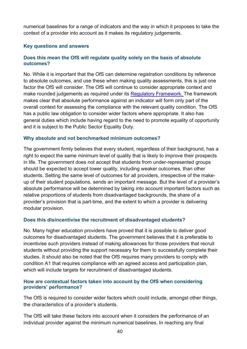numerical baselines for a range of indicators and the way in which it proposes to take the context of a provider into account as it makes its regulatory judgements.

#### **Key questions and answers**

#### **Does this mean the OfS will regulate quality solely on the basis of absolute outcomes?**

No. While it is important that the OfS can determine registration conditions by reference to absolute outcomes, and use these when making quality assessments, this is just one factor the OfS will consider. The OfS will continue to consider appropriate context and make rounded judgements as required under its [Regulatory Framework.](https://www.officeforstudents.org.uk/media/1406/ofs2018_01.pdf) The framework makes clear that absolute performance against an indicator will form only part of the overall context for assessing the compliance with the relevant quality condition. The OfS has a public law obligation to consider wider factors where appropriate. It also has general duties which include having regard to the need to promote equality of opportunity and it is subject to the Public Sector Equality Duty.

#### **Why absolute and not benchmarked minimum outcomes?**

The government firmly believes that every student, regardless of their background, has a right to expect the same minimum level of quality that is likely to improve their prospects in life. The government does not accept that students from under-represented groups should be expected to accept lower quality, including weaker outcomes, than other students. Setting the same level of outcomes for all providers, irrespective of the makeup of their student populations, sends an important message. But the level of a provider's absolute performance will be determined by taking into account important factors such as relative proportions of students from disadvantaged backgrounds, the share of a provider's provision that is part-time, and the extent to which a provider is delivering modular provision.

#### **Does this disincentivise the recruitment of disadvantaged students?**

No. Many higher education providers have proved that it is possible to deliver good outcomes for disadvantaged students. The government believes that it is preferable to incentivise such providers instead of making allowances for those providers that recruit students without providing the support necessary for them to successfully complete their studies. It should also be noted that the OfS requires many providers to comply with condition A1 that requires compliance with an agreed access and participation plan, which will include targets for recruitment of disadvantaged students.

#### **How are contextual factors taken into account by the OfS when considering providers' performance?**

The OfS is required to consider wider factors which could include, amongst other things, the characteristics of a provider's students.

The OfS will take these factors into account when it considers the performance of an individual provider against the minimum numerical baselines. In reaching any final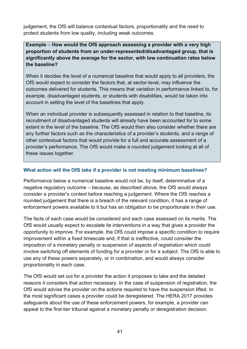judgement, the OfS will balance contextual factors, proportionality and the need to protect students from low quality, including weak outcomes.

# **Example** – **How would the OfS approach assessing a provider with a very high proportion of students from an under-represented/disadvantaged group, that is significantly above the average for the sector, with low continuation rates below the baseline?**

When it decides the level of a numerical baseline that would apply to all providers, the OfS would expect to consider the factors that, at sector-level, may influence the outcomes delivered for students. This means that variation in performance linked to, for example, disadvantaged students, or students with disabilities, would be taken into account in setting the level of the baselines that apply.

When an individual provider is subsequently assessed in relation to that baseline, its recruitment of disadvantaged students will already have been accounted for to some extent in the level of the baseline. The OfS would then also consider whether there are any further factors such as the characteristics of a provider's students, and a range of other contextual factors that would provide for a full and accurate assessment of a provider's performance. The OfS would make a rounded judgement looking at all of these issues together.

### **What action will the OfS take if a provider is not meeting minimum baselines?**

Performance below a numerical baseline would not be, by itself, determinative of a negative regulatory outcome – because, as described above, the OfS would always consider a provider's context before reaching a judgement. Where the OfS reaches a rounded judgement that there is a breach of the relevant condition, it has a range of enforcement powers available to it but has an obligation to be proportionate in their use.

The facts of each case would be considered and each case assessed on its merits. The OfS would usually expect to escalate its interventions in a way that gives a provider the opportunity to improve. For example, the OfS could impose a specific condition to require improvement within a fixed timescale and, if that is ineffective, could consider the imposition of a monetary penalty or suspension of aspects of registration which could involve switching off elements of funding for a provider or for a subject. The OfS is able to use any of these powers separately, or in combination, and would always consider proportionality in each case.

The OfS would set out for a provider the action it proposes to take and the detailed reasons it considers that action necessary. In the case of suspension of registration, the OfS would advise the provider on the actions required to have the suspension lifted. In the most significant cases a provider could be deregistered. The HERA 2017 provides safeguards about the use of these enforcement powers, for example, a provider can appeal to the first-tier tribunal against a monetary penalty or deregistration decision.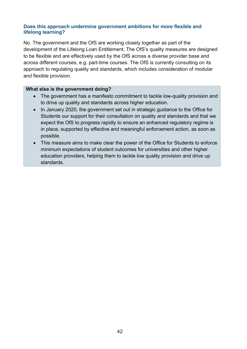#### **Does this approach undermine government ambitions for more flexible and lifelong learning?**

No. The government and the OfS are working closely together as part of the development of the Lifelong Loan Entitlement. The OfS's quality measures are designed to be flexible and are effectively used by the OfS across a diverse provider base and across different courses, e.g. part-time courses. The OfS is currently consulting on its approach to regulating quality and standards, which includes consideration of modular and flexible provision.

#### **What else is the government doing?**

- The government has a manifesto commitment to tackle low-quality provision and to drive up quality and standards across higher education.
- In January 2020, the government set out in strategic guidance to the Office for Students our support for their consultation on quality and standards and that we expect the OfS to progress rapidly to ensure an enhanced regulatory regime is in place, supported by effective and meaningful enforcement action, as soon as possible.
- This measure aims to make clear the power of the Office for Students to enforce minimum expectations of student outcomes for universities and other higher education providers, helping them to tackle low quality provision and drive up standards.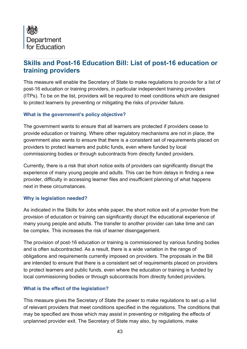

# **Skills and Post-16 Education Bill: List of post-16 education or training providers**

This measure will enable the Secretary of State to make regulations to provide for a list of post-16 education or training providers, in particular independent training providers (ITPs). To be on the list, providers will be required to meet conditions which are designed to protect learners by preventing or mitigating the risks of provider failure.

### **What is the government's policy objective?**

The government wants to ensure that all learners are protected if providers cease to provide education or training. Where other regulatory mechanisms are not in place, the government also wants to ensure that there is a consistent set of requirements placed on providers to protect learners and public funds, even where funded by local commissioning bodies or through subcontracts from directly funded providers.

Currently, there is a risk that short notice exits of providers can significantly disrupt the experience of many young people and adults. This can be from delays in finding a new provider, difficulty in accessing learner files and insufficient planning of what happens next in these circumstances.

#### **Why is legislation needed?**

As indicated in the Skills for Jobs white paper, the short notice exit of a provider from the provision of education or training can significantly disrupt the educational experience of many young people and adults. The transfer to another provider can take time and can be complex. This increases the risk of learner disengagement.

The provision of post-16 education or training is commissioned by various funding bodies and is often subcontracted. As a result, there is a wide variation in the range of obligations and requirements currently imposed on providers. The proposals in the Bill are intended to ensure that there is a consistent set of requirements placed on providers to protect learners and public funds, even where the education or training is funded by local commissioning bodies or through subcontracts from directly funded providers.

# **What is the effect of the legislation?**

This measure gives the Secretary of State the power to make regulations to set up a list of relevant providers that meet conditions specified in the regulations. The conditions that may be specified are those which may assist in preventing or mitigating the effects of unplanned provider exit. The Secretary of State may also, by regulations, make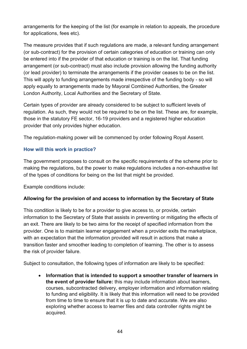arrangements for the keeping of the list (for example in relation to appeals, the procedure for applications, fees etc).

The measure provides that if such regulations are made, a relevant funding arrangement (or sub-contract) for the provision of certain categories of education or training can only be entered into if the provider of that education or training is on the list. That funding arrangement (or sub-contract) must also include provision allowing the funding authority (or lead provider) to terminate the arrangements if the provider ceases to be on the list. This will apply to funding arrangements made irrespective of the funding body - so will apply equally to arrangements made by Mayoral Combined Authorities, the Greater London Authority, Local Authorities and the Secretary of State.

Certain types of provider are already considered to be subject to sufficient levels of regulation. As such, they would not be required to be on the list. These are, for example, those in the statutory FE sector, 16-19 providers and a registered higher education provider that only provides higher education.

The regulation-making power will be commenced by order following Royal Assent.

### **How will this work in practice?**

The government proposes to consult on the specific requirements of the scheme prior to making the regulations, but the power to make regulations includes a non-exhaustive list of the types of conditions for being on the list that might be provided.

Example conditions include:

# **Allowing for the provision of and access to information by the Secretary of State**

This condition is likely to be for a provider to give access to, or provide, certain information to the Secretary of State that assists in preventing or mitigating the effects of an exit. There are likely to be two aims for the receipt of specified information from the provider. One is to maintain learner engagement when a provider exits the marketplace, with an expectation that the information provided will result in actions that make a transition faster and smoother leading to completion of learning. The other is to assess the risk of provider failure.

Subject to consultation, the following types of information are likely to be specified:

• **Information that is intended to support a smoother transfer of learners in the event of provider failure:** this may include information about learners, courses, subcontracted delivery, employer information and information relating to funding and eligibility. It is likely that this information will need to be provided from time to time to ensure that it is up to date and accurate. We are also exploring whether access to learner files and data controller rights might be acquired.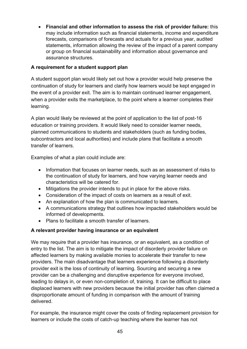• **Financial and other information to assess the risk of provider failure:** this may include information such as financial statements, income and expenditure forecasts, comparisons of forecasts and actuals for a previous year, audited statements, information allowing the review of the impact of a parent company or group on financial sustainability and information about governance and assurance structures.

# **A requirement for a student support plan**

A student support plan would likely set out how a provider would help preserve the continuation of study for learners and clarify how learners would be kept engaged in the event of a provider exit. The aim is to maintain continued learner engagement, when a provider exits the marketplace, to the point where a learner completes their learning.

A plan would likely be reviewed at the point of application to the list of post-16 education or training providers. It would likely need to consider learner needs, planned communications to students and stakeholders (such as funding bodies, subcontractors and local authorities) and include plans that facilitate a smooth transfer of learners.

Examples of what a plan could include are:

- Information that focuses on learner needs, such as an assessment of risks to the continuation of study for learners, and how varying learner needs and characteristics will be catered for.
- Mitigations the provider intends to put in place for the above risks.
- Consideration of the impact of costs on learners as a result of exit.
- An explanation of how the plan is communicated to learners.
- A communications strategy that outlines how impacted stakeholders would be informed of developments.
- Plans to facilitate a smooth transfer of learners.

# **A relevant provider having insurance or an equivalent**

We may require that a provider has insurance, or an equivalent, as a condition of entry to the list. The aim is to mitigate the impact of disorderly provider failure on affected learners by making available monies to accelerate their transfer to new providers. The main disadvantage that learners experience following a disorderly provider exit is the loss of continuity of learning. Sourcing and securing a new provider can be a challenging and disruptive experience for everyone involved, leading to delays in, or even non-completion of, training. It can be difficult to place displaced learners with new providers because the initial provider has often claimed a disproportionate amount of funding in comparison with the amount of training delivered.

For example, the insurance might cover the costs of finding replacement provision for learners or include the costs of catch-up teaching where the learner has not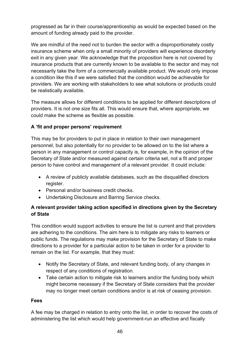progressed as far in their course/apprenticeship as would be expected based on the amount of funding already paid to the provider.

We are mindful of the need not to burden the sector with a disproportionately costly insurance scheme when only a small minority of providers will experience disorderly exit in any given year. We acknowledge that the proposition here is not covered by insurance products that are currently known to be available to the sector and may not necessarily take the form of a commercially available product. We would only impose a condition like this if we were satisfied that the condition would be achievable for providers. We are working with stakeholders to see what solutions or products could be realistically available.

The measure allows for different conditions to be applied for different descriptions of providers. It is not one size fits all. This would ensure that, where appropriate, we could make the scheme as flexible as possible.

# **A 'fit and proper persons' requirement**

This may be for providers to put in place in relation to their own management personnel, but also potentially for no provider to be allowed on to the list where a person in any management or control capacity is, for example, in the opinion of the Secretary of State and/or measured against certain criteria set, not a fit and proper person to have control and management of a relevant provider. It could include:

- A review of publicly available databases, such as the disqualified directors register.
- Personal and/or business credit checks.
- Undertaking Disclosure and Barring Service checks.

# **A relevant provider taking action specified in directions given by the Secretary of State**

This condition would support activities to ensure the list is current and that providers are adhering to the conditions. The aim here is to mitigate any risks to learners or public funds. The regulations may make provision for the Secretary of State to make directions to a provider for a particular action to be taken in order for a provider to remain on the list. For example, that they must:

- Notify the Secretary of State, and relevant funding body, of any changes in respect of any conditions of registration.
- Take certain action to mitigate risk to learners and/or the funding body which might become necessary if the Secretary of State considers that the provider may no longer meet certain conditions and/or is at risk of ceasing provision.

# **Fees**

A fee may be charged in relation to entry onto the list, in order to recover the costs of administering the list which would help government-run an effective and fiscally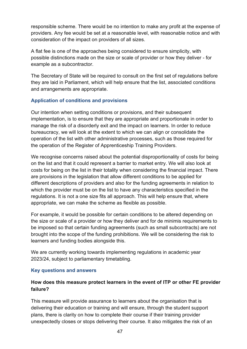responsible scheme. There would be no intention to make any profit at the expense of providers. Any fee would be set at a reasonable level, with reasonable notice and with consideration of the impact on providers of all sizes.

A flat fee is one of the approaches being considered to ensure simplicity, with possible distinctions made on the size or scale of provider or how they deliver - for example as a subcontractor.

The Secretary of State will be required to consult on the first set of regulations before they are laid in Parliament, which will help ensure that the list, associated conditions and arrangements are appropriate.

### **Application of conditions and provisions**

Our intention when setting conditions or provisions, and their subsequent implementation, is to ensure that they are appropriate and proportionate in order to manage the risk of a disorderly exit and the impact on learners. In order to reduce bureaucracy, we will look at the extent to which we can align or consolidate the operation of the list with other administrative processes, such as those required for the operation of the Register of Apprenticeship Training Providers.

We recognise concerns raised about the potential disproportionality of costs for being on the list and that it could represent a barrier to market entry. We will also look at costs for being on the list in their totality when considering the financial impact. There are provisions in the legislation that allow different conditions to be applied for different descriptions of providers and also for the funding agreements in relation to which the provider must be on the list to have any characteristics specified in the regulations. It is not a one size fits all approach. This will help ensure that, where appropriate, we can make the scheme as flexible as possible.

For example, it would be possible for certain conditions to be altered depending on the size or scale of a provider or how they deliver and for de minimis requirements to be imposed so that certain funding agreements (such as small subcontracts) are not brought into the scope of the funding prohibitions. We will be considering the risk to learners and funding bodies alongside this.

We are currently working towards implementing regulations in academic year 2023/24, subject to parliamentary timetabling.

#### **Key questions and answers**

# **How does this measure protect learners in the event of ITP or other FE provider failure?**

This measure will provide assurance to learners about the organisation that is delivering their education or training and will ensure, through the student support plans, there is clarity on how to complete their course if their training provider unexpectedly closes or stops delivering their course. It also mitigates the risk of an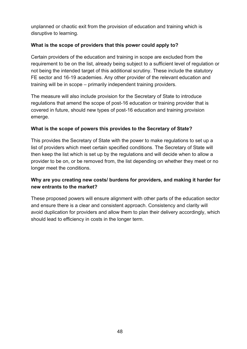unplanned or chaotic exit from the provision of education and training which is disruptive to learning.

# **What is the scope of providers that this power could apply to?**

Certain providers of the education and training in scope are excluded from the requirement to be on the list, already being subject to a sufficient level of regulation or not being the intended target of this additional scrutiny. These include the statutory FE sector and 16-19 academies. Any other provider of the relevant education and training will be in scope – primarily independent training providers.

The measure will also include provision for the Secretary of State to introduce regulations that amend the scope of post-16 education or training provider that is covered in future, should new types of post-16 education and training provision emerge.

# **What is the scope of powers this provides to the Secretary of State?**

This provides the Secretary of State with the power to make regulations to set up a list of providers which meet certain specified conditions. The Secretary of State will then keep the list which is set up by the regulations and will decide when to allow a provider to be on, or be removed from, the list depending on whether they meet or no longer meet the conditions.

# **Why are you creating new costs/ burdens for providers, and making it harder for new entrants to the market?**

These proposed powers will ensure alignment with other parts of the education sector and ensure there is a clear and consistent approach. Consistency and clarity will avoid duplication for providers and allow them to plan their delivery accordingly, which should lead to efficiency in costs in the longer term.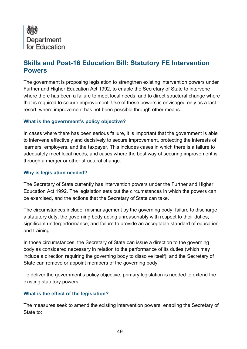

# **Skills and Post-16 Education Bill: Statutory FE Intervention Powers**

The government is proposing legislation to strengthen existing intervention powers under Further and Higher Education Act 1992, to enable the Secretary of State to intervene where there has been a failure to meet local needs, and to direct structural change where that is required to secure improvement. Use of these powers is envisaged only as a last resort, where improvement has not been possible through other means.

### **What is the government's policy objective?**

In cases where there has been serious failure, it is important that the government is able to intervene effectively and decisively to secure improvement, protecting the interests of learners, employers, and the taxpayer. This includes cases in which there is a failure to adequately meet local needs, and cases where the best way of securing improvement is through a merger or other structural change.

#### **Why is legislation needed?**

The Secretary of State currently has intervention powers under the Further and Higher Education Act 1992. The legislation sets out the circumstances in which the powers can be exercised, and the actions that the Secretary of State can take.

The circumstances include: mismanagement by the governing body; failure to discharge a statutory duty; the governing body acting unreasonably with respect to their duties; significant underperformance; and failure to provide an acceptable standard of education and training.

In those circumstances, the Secretary of State can issue a direction to the governing body as considered necessary in relation to the performance of its duties (which may include a direction requiring the governing body to dissolve itself); and the Secretary of State can remove or appoint members of the governing body.

To deliver the government's policy objective, primary legislation is needed to extend the existing statutory powers.

#### **What is the effect of the legislation?**

The measures seek to amend the existing intervention powers, enabling the Secretary of State to: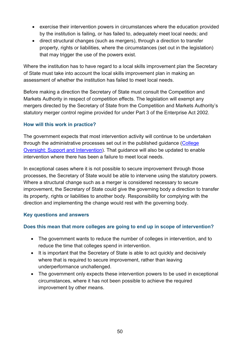- exercise their intervention powers in circumstances where the education provided by the institution is failing, or has failed to, adequately meet local needs; and
- direct structural changes (such as mergers), through a direction to transfer property, rights or liabilities, where the circumstances (set out in the legislation) that may trigger the use of the powers exist.

Where the institution has to have regard to a local skills improvement plan the Secretary of State must take into account the local skills improvement plan in making an assessment of whether the institution has failed to meet local needs.

Before making a direction the Secretary of State must consult the Competition and Markets Authority in respect of competition effects. The legislation will exempt any mergers directed by the Secretary of State from the Competition and Markets Authority's statutory merger control regime provided for under Part 3 of the Enterprise Act 2002.

### **How will this work in practice?**

The government expects that most intervention activity will continue to be undertaken through the administrative processes set out in the published guidance [\(College](https://www.gov.uk/government/publications/college-oversight-support-and-intervention)  [Oversight: Support and Intervention\)](https://www.gov.uk/government/publications/college-oversight-support-and-intervention). That guidance will also be updated to enable intervention where there has been a failure to meet local needs.

In exceptional cases where it is not possible to secure improvement through those processes, the Secretary of State would be able to intervene using the statutory powers. Where a structural change such as a merger is considered necessary to secure improvement, the Secretary of State could give the governing body a direction to transfer its property, rights or liabilities to another body. Responsibility for complying with the direction and implementing the change would rest with the governing body.

#### **Key questions and answers**

# **Does this mean that more colleges are going to end up in scope of intervention?**

- The government wants to reduce the number of colleges in intervention, and to reduce the time that colleges spend in intervention.
- It is important that the Secretary of State is able to act quickly and decisively where that is required to secure improvement, rather than leaving underperformance unchallenged.
- The government only expects these intervention powers to be used in exceptional circumstances, where it has not been possible to achieve the required improvement by other means.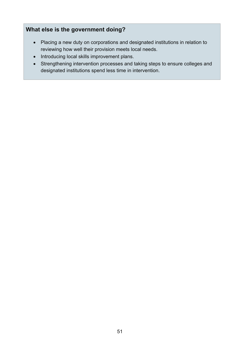# **What else is the government doing?**

- Placing a new duty on corporations and designated institutions in relation to reviewing how well their provision meets local needs.
- Introducing local skills improvement plans.
- Strengthening intervention processes and taking steps to ensure colleges and designated institutions spend less time in intervention.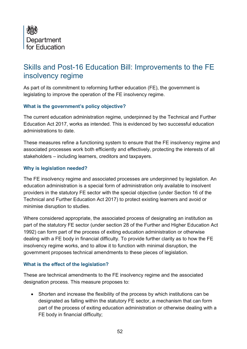

# Skills and Post-16 Education Bill: Improvements to the FE insolvency regime

As part of its commitment to reforming further education (FE), the government is legislating to improve the operation of the FE insolvency regime.

#### **What is the government's policy objective?**

The current education administration regime, underpinned by the Technical and Further Education Act 2017, works as intended. This is evidenced by two successful education administrations to date.

These measures refine a functioning system to ensure that the FE insolvency regime and associated processes work both efficiently and effectively, protecting the interests of all stakeholders – including learners, creditors and taxpayers.

### **Why is legislation needed?**

The FE insolvency regime and associated processes are underpinned by legislation. An education administration is a special form of administration only available to insolvent providers in the statutory FE sector with the special objective (under Section 16 of the Technical and Further Education Act 2017) to protect existing learners and avoid or minimise disruption to studies.

Where considered appropriate, the associated process of designating an institution as part of the statutory FE sector (under section 28 of the Further and Higher Education Act 1992) can form part of the process of exiting education administration or otherwise dealing with a FE body in financial difficulty. To provide further clarity as to how the FE insolvency regime works, and to allow it to function with minimal disruption, the government proposes technical amendments to these pieces of legislation.

#### **What is the effect of the legislation?**

These are technical amendments to the FE insolvency regime and the associated designation process. This measure proposes to:

• Shorten and increase the flexibility of the process by which institutions can be designated as falling within the statutory FE sector, a mechanism that can form part of the process of exiting education administration or otherwise dealing with a FE body in financial difficulty;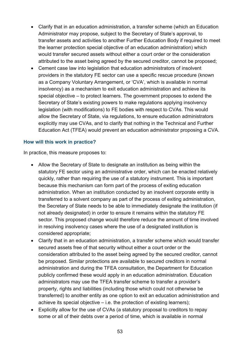- Clarify that in an education administration, a transfer scheme (which an Education Administrator may propose, subject to the Secretary of State's approval, to transfer assets and activities to another Further Education Body if required to meet the learner protection special objective of an education administration) which would transfer secured assets without either a court order or the consideration attributed to the asset being agreed by the secured creditor, cannot be proposed;
- Cement case law into legislation that education administrators of insolvent providers in the statutory FE sector can use a specific rescue procedure (known as a Company Voluntary Arrangement, or 'CVA', which is available in normal insolvency) as a mechanism to exit education administration and achieve its special objective – to protect learners. The government proposes to extend the Secretary of State's existing powers to make regulations applying insolvency legislation (with modifications) to FE bodies with respect to CVAs. This would allow the Secretary of State, via regulations, to ensure education administrators explicitly may use CVAs, and to clarify that nothing in the Technical and Further Education Act (TFEA) would prevent an education administrator proposing a CVA.

#### **How will this work in practice?**

In practice, this measure proposes to:

- Allow the Secretary of State to designate an institution as being within the statutory FE sector using an administrative order, which can be enacted relatively quickly, rather than requiring the use of a statutory instrument. This is important because this mechanism can form part of the process of exiting education administration. When an institution conducted by an insolvent corporate entity is transferred to a solvent company as part of the process of exiting administration, the Secretary of State needs to be able to immediately designate the institution (if not already designated) in order to ensure it remains within the statutory FE sector. This proposed change would therefore reduce the amount of time involved in resolving insolvency cases where the use of a designated institution is considered appropriate;
- Clarify that in an education administration, a transfer scheme which would transfer secured assets free of that security without either a court order or the consideration attributed to the asset being agreed by the secured creditor, cannot be proposed. Similar protections are available to secured creditors in normal administration and during the TFEA consultation, the Department for Education publicly confirmed these would apply in an education administration. Education administrators may use the TFEA transfer scheme to transfer a provider's property, rights and liabilities (including those which could not otherwise be transferred) to another entity as one option to exit an education administration and achieve its special objective – i.e. the protection of existing learners);
- Explicitly allow for the use of CVAs (a statutory proposal to creditors to repay some or all of their debts over a period of time, which is available in normal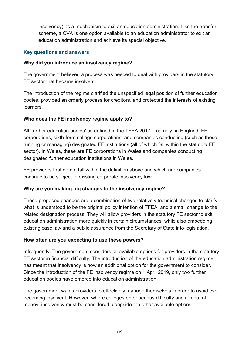insolvency) as a mechanism to exit an education administration. Like the transfer scheme, a CVA is one option available to an education administrator to exit an education administration and achieve its special objective.

### **Key questions and answers**

#### **Why did you introduce an insolvency regime?**

The government believed a process was needed to deal with providers in the statutory FE sector that became insolvent.

The introduction of the regime clarified the unspecified legal position of further education bodies, provided an orderly process for creditors, and protected the interests of existing learners.

### **Who does the FE insolvency regime apply to?**

All 'further education bodies' as defined in the TFEA 2017 – namely, in England, FE corporations, sixth-form college corporations, and companies conducting (such as those running or managing) designated FE institutions (all of which fall within the statutory FE sector). In Wales, these are FE corporations in Wales and companies conducting designated further education institutions in Wales.

FE providers that do not fall within the definition above and which are companies continue to be subject to existing corporate insolvency law.

#### **Why are you making big changes to the insolvency regime?**

These proposed changes are a combination of two relatively technical changes to clarify what is understood to be the original policy intention of TFEA, and a small change to the related designation process. They will allow providers in the statutory FE sector to exit education administration more quickly in certain circumstances, while also embedding existing case law and a public assurance from the Secretary of State into legislation.

#### **How often are you expecting to use these powers?**

Infrequently. The government considers all available options for providers in the statutory FE sector in financial difficulty. The introduction of the education administration regime has meant that insolvency is now an additional option for the government to consider. Since the introduction of the FE insolvency regime on 1 April 2019, only two further education bodies have entered into education administration.

The government wants providers to effectively manage themselves in order to avoid ever becoming insolvent. However, where colleges enter serious difficulty and run out of money, insolvency must be considered alongside the other available options.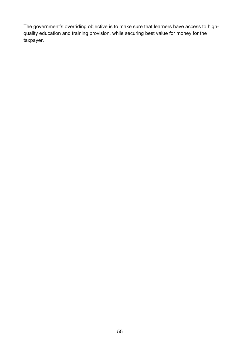The government's overriding objective is to make sure that learners have access to highquality education and training provision, while securing best value for money for the taxpayer.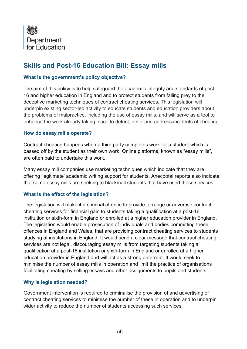

# **Skills and Post-16 Education Bill: Essay mills**

#### **What is the government's policy objective?**

The aim of this policy is to help safeguard the academic integrity and standards of post-16 and higher education in England and to protect students from falling prey to the deceptive marketing techniques of contract cheating services. This legislation will underpin existing sector-led activity to educate students and education providers about the problems of malpractice, including the use of essay mills, and will serve as a tool to enhance the work already taking place to detect, deter and address incidents of cheating.

#### **How do essay mills operate?**

Contract cheating happens when a third party completes work for a student which is passed off by the student as their own work. Online platforms, known as "essay mills", are often paid to undertake this work.

Many essay mill companies use marketing techniques which indicate that they are offering 'legitimate' academic writing support for students. Anecdotal reports also indicate that some essay mills are seeking to blackmail students that have used these services.

#### **What is the effect of the legislation?**

The legislation will make it a criminal offence to provide, arrange or advertise contract cheating services for financial gain to students taking a qualification at a post-16 institution or sixth-form in England or enrolled at a higher education provider in England. The legislation would enable prosecution of individuals and bodies committing these offences in England and Wales, that are providing contract cheating services to students studying at institutions in England. It would send a clear message that contract cheating services are not legal, discouraging essay mills from targeting students taking a qualification at a post-16 institution or sixth-form in England or enrolled at a higher education provider in England and will act as a strong deterrent. It would seek to minimise the number of essay mills in operation and limit the practice of organisations facilitating cheating by selling essays and other assignments to pupils and students.

#### **Why is legislation needed?**

Government intervention is required to criminalise the provision of and advertising of contract cheating services to minimise the number of these in operation and to underpin wider activity to reduce the number of students accessing such services.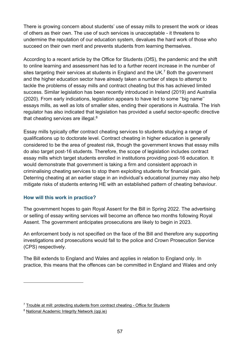There is growing concern about students' use of essay mills to present the work or ideas of others as their own. The use of such services is unacceptable - it threatens to undermine the reputation of our education system, devalues the hard work of those who succeed on their own merit and prevents students from learning themselves.

According to a recent article by the Office for Students (OfS), the pandemic and the shift to online learning and assessment has led to a further recent increase in the number of sites targeting their services at students in England and the UK.<sup>7</sup> Both the government and the higher education sector have already taken a number of steps to attempt to tackle the problems of essay mills and contract cheating but this has achieved limited success. Similar legislation has been recently introduced in Ireland (2019) and Australia (2020). From early indications, legislation appears to have led to some ''big name'' essays mills, as well as lots of smaller sites, ending their operations in Australia. The Irish regulator has also indicated that legislation has provided a useful sector-specific directive that cheating services are illegal. $^8$ 

Essay mills typically offer contract cheating services to students studying a range of qualifications up to doctorate level. Contract cheating in higher education is generally considered to be the area of greatest risk, though the government knows that essay mills do also target post-16 students. Therefore, the scope of legislation includes contract essay mills which target students enrolled in institutions providing post-16 education. It would demonstrate that government is taking a firm and consistent approach in criminalising cheating services to stop them exploiting students for financial gain. Deterring cheating at an earlier stage in an individual's educational journey may also help mitigate risks of students entering HE with an established pattern of cheating behaviour.

# **How will this work in practice?**

The government hopes to gain Royal Assent for the Bill in Spring 2022. The advertising or selling of essay writing services will become an offence two months following Royal Assent. The government anticipates prosecutions are likely to begin in 2023.

An enforcement body is not specified on the face of the Bill and therefore any supporting investigations and prosecutions would fall to the police and Crown Prosecution Service (CPS) respectively.

The Bill extends to England and Wales and applies in relation to England only. In practice, this means that the offences can be committed in England and Wales and only

 $7$  [Trouble at mill: protecting students from contract cheating -](https://www.officeforstudents.org.uk/news-blog-and-events/blog/trouble-at-mill-protecting-students-from-contract-cheating/) Office for Students

<sup>8</sup> [National Academic Integrity Network \(qqi.ie\)](https://www.qqi.ie/Articles/Pages/National-Academic-Integrity-Network.aspx)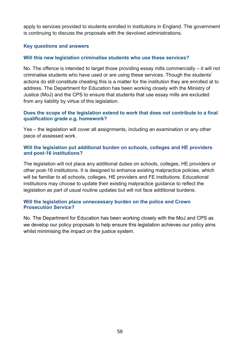apply to services provided to students enrolled in institutions in England. The government is continuing to discuss the proposals with the devolved administrations.

#### **Key questions and answers**

#### **Will this new legislation criminalise students who use these services?**

No. The offence is intended to target those providing essay mills commercially – it will not criminalise students who have used or are using these services. Though the students' actions do still constitute cheating this is a matter for the institution they are enrolled at to address. The Department for Education has been working closely with the Ministry of Justice (MoJ) and the CPS to ensure that students that use essay mills are excluded from any liability by virtue of this legislation.

#### **Does the scope of the legislation extend to work that does not contribute to a final qualification grade e.g. homework?**

Yes – the legislation will cover all assignments, including an examination or any other piece of assessed work.

#### **Will the legislation put additional burden on schools, colleges and HE providers and post-16 institutions?**

The legislation will not place any additional duties on schools, colleges, HE providers or other post-16 institutions. It is designed to enhance existing malpractice policies, which will be familiar to all schools, colleges, HE providers and FE institutions. Educational institutions may choose to update their existing malpractice guidance to reflect the legislation as part of usual routine updates but will not face additional burdens.

#### **Will the legislation place unnecessary burden on the police and Crown Prosecution Service?**

No. The Department for Education has been working closely with the MoJ and CPS as we develop our policy proposals to help ensure this legislation achieves our policy aims whilst minimising the impact on the justice system.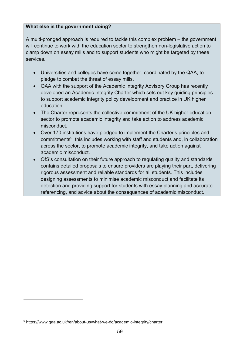#### **What else is the government doing?**

A multi-pronged approach is required to tackle this complex problem – the government will continue to work with the education sector to strengthen non-legislative action to clamp down on essay mills and to support students who might be targeted by these services.

- Universities and colleges have come together, coordinated by the QAA, to pledge to combat the threat of essay mills.
- QAA with the support of the Academic Integrity Advisory Group has recently developed an Academic Integrity Charter which sets out key guiding principles to support academic integrity policy development and practice in UK higher education.
- The Charter represents the collective commitment of the UK higher education sector to promote academic integrity and take action to address academic misconduct.
- Over 170 institutions have pledged to implement the Charter's principles and commitments<sup>9</sup>, this includes working with staff and students and, in collaboration across the sector, to promote academic integrity, and take action against academic misconduct.
- OfS's consultation on their future approach to regulating quality and standards contains detailed proposals to ensure providers are playing their part, delivering rigorous assessment and reliable standards for all students. This includes designing assessments to minimise academic misconduct and facilitate its detection and providing support for students with essay planning and accurate referencing, and advice about the consequences of academic misconduct.

<sup>9</sup> https://www.qaa.ac.uk//en/about-us/what-we-do/academic-integrity/charter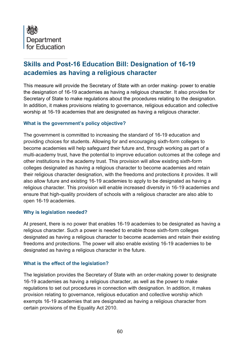

# **Skills and Post-16 Education Bill: Designation of 16-19 academies as having a religious character**

This measure will provide the Secretary of State with an order making- power to enable the designation of 16-19 academies as having a religious character. It also provides for Secretary of State to make regulations about the procedures relating to the designation. In addition, it makes provisions relating to governance, religious education and collective worship at 16-19 academies that are designated as having a religious character.

#### **What is the government's policy objective?**

The government is committed to increasing the standard of 16-19 education and providing choices for students. Allowing for and encouraging sixth-form colleges to become academies will help safeguard their future and, through working as part of a multi-academy trust, have the potential to improve education outcomes at the college and other institutions in the academy trust. This provision will allow existing sixth-form colleges designated as having a religious character to become academies and retain their religious character designation, with the freedoms and protections it provides. It will also allow future and existing 16-19 academies to apply to be designated as having a religious character. This provision will enable increased diversity in 16-19 academies and ensure that high-quality providers of schools with a religious character are also able to open 16-19 academies.

#### **Why is legislation needed?**

At present, there is no power that enables 16-19 academies to be designated as having a religious character. Such a power is needed to enable those sixth-form colleges designated as having a religious character to become academies and retain their existing freedoms and protections. The power will also enable existing 16-19 academies to be designated as having a religious character in the future.

#### **What is the effect of the legislation?**

The legislation provides the Secretary of State with an order-making power to designate 16-19 academies as having a religious character, as well as the power to make regulations to set out procedures in connection with designation. In addition, it makes provision relating to governance, religious education and collective worship which exempts 16-19 academies that are designated as having a religious character from certain provisions of the Equality Act 2010.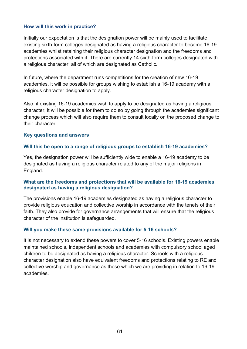#### **How will this work in practice?**

Initially our expectation is that the designation power will be mainly used to facilitate existing sixth-form colleges designated as having a religious character to become 16-19 academies whilst retaining their religious character designation and the freedoms and protections associated with it. There are currently 14 sixth-form colleges designated with a religious character, all of which are designated as Catholic.

In future, where the department runs competitions for the creation of new 16-19 academies, it will be possible for groups wishing to establish a 16-19 academy with a religious character designation to apply.

Also, if existing 16-19 academies wish to apply to be designated as having a religious character, it will be possible for them to do so by going through the academies significant change process which will also require them to consult locally on the proposed change to their character.

#### **Key questions and answers**

#### **Will this be open to a range of religious groups to establish 16-19 academies?**

Yes, the designation power will be sufficiently wide to enable a 16-19 academy to be designated as having a religious character related to any of the major religions in England.

#### **What are the freedoms and protections that will be available for 16-19 academies designated as having a religious designation?**

The provisions enable 16-19 academies designated as having a religious character to provide religious education and collective worship in accordance with the tenets of their faith. They also provide for governance arrangements that will ensure that the religious character of the institution is safeguarded.

#### **Will you make these same provisions available for 5-16 schools?**

It is not necessary to extend these powers to cover 5-16 schools. Existing powers enable maintained schools, independent schools and academies with compulsory school aged children to be designated as having a religious character. Schools with a religious character designation also have equivalent freedoms and protections relating to RE and collective worship and governance as those which we are providing in relation to 16-19 academies.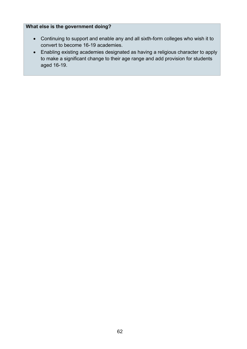### **What else is the government doing?**

- Continuing to support and enable any and all sixth-form colleges who wish it to convert to become 16-19 academies.
- Enabling existing academies designated as having a religious character to apply to make a significant change to their age range and add provision for students aged 16-19.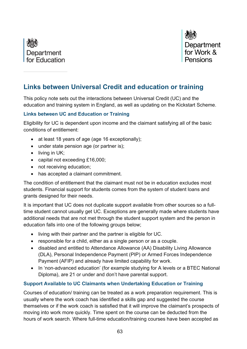



# **Links between Universal Credit and education or training**

This policy note sets out the interactions between Universal Credit (UC) and the education and training system in England, as well as updating on the Kickstart Scheme.

#### **Links between UC and Education or Training**

Eligibility for UC is dependent upon income and the claimant satisfying all of the basic conditions of entitlement:

- at least 18 years of age (age 16 exceptionally);
- under state pension age (or partner is);
- living in UK;
- capital not exceeding £16,000;
- not receiving education;
- has accepted a claimant commitment.

The condition of entitlement that the claimant must not be in education excludes most students. Financial support for students comes from the system of student loans and grants designed for their needs.

It is important that UC does not duplicate support available from other sources so a fulltime student cannot usually get UC. Exceptions are generally made where students have additional needs that are not met through the student support system and the person in education falls into one of the following groups below;

- living with their partner and the partner is eligible for UC.
- responsible for a child, either as a single person or as a couple.
- disabled and entitled to Attendance Allowance (AA) Disability Living Allowance (DLA), Personal Independence Payment (PIP) or Armed Forces Independence Payment (AFIP) and already have limited capability for work.
- In 'non-advanced education' (for example studying for A levels or a BTEC National Diploma), are 21 or under and don't have parental support.

# **Support Available to UC Claimants when Undertaking Education or Training**

Courses of education/ training can be treated as a work preparation requirement. This is usually where the work coach has identified a skills gap and suggested the course themselves or if the work coach is satisfied that it will improve the claimant's prospects of moving into work more quickly. Time spent on the course can be deducted from the hours of work search. Where full-time education/training courses have been accepted as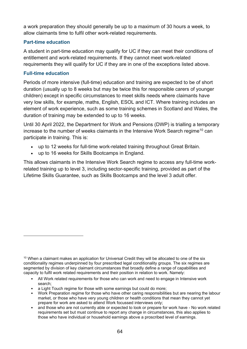a work preparation they should generally be up to a maximum of 30 hours a week, to allow claimants time to fulfil other work-related requirements.

#### **Part-time education**

A student in part-time education may qualify for UC if they can meet their conditions of entitlement and work-related requirements. If they cannot meet work-related requirements they will qualify for UC if they are in one of the exceptions listed above.

#### **Full-time education**

Periods of more intensive (full-time) education and training are expected to be of short duration (usually up to 8 weeks but may be twice this for responsible carers of younger children) except in specific circumstances to meet skills needs where claimants have very low skills, for example, maths, English, ESOL and ICT. Where training includes an element of work experience, such as some training schemes in Scotland and Wales, the duration of training may be extended to up to 16 weeks.

Until 30 April 2022, the Department for Work and Pensions (DWP) is trialling a temporary increase to the number of weeks claimants in the Intensive Work Search regime<sup>10</sup> can participate in training. This is:

- up to 12 weeks for full-time work-related training throughout Great Britain.
- up to 16 weeks for Skills Bootcamps in England.

This allows claimants in the Intensive Work Search regime to access any full-time workrelated training up to level 3, including sector-specific training, provided as part of the Lifetime Skills Guarantee, such as Skills Bootcamps and the level 3 adult offer.

- All Work related requirements for those who can work and need to engage in Intensive work search;
- a Light Touch regime for those with some earnings but could do more;
- Work Preparation regime for those who have other caring responsibilities but are nearing the labour market, or those who have very young children or health conditions that mean they cannot yet prepare for work are asked to attend Work focussed interviews only;
- and those who are not currently able or expected to look or prepare for work have No work related requirements set but must continue to report any change in circumstances, this also applies to those who have individual or household earnings above a proscribed level of earnings.

<sup>&</sup>lt;sup>10</sup> When a claimant makes an application for Universal Credit they will be allocated to one of the six conditionality regimes underpinned by four prescribed legal conditionality groups. The six regimes are segmented by division of key claimant circumstances that broadly define a range of capabilities and capacity to fulfil work related requirements and their position in relation to work. Namely: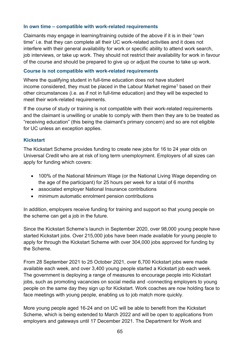#### **In own time – compatible with work-related requirements**

Claimants may engage in learning/training outside of the above if it is in their "own time" i.e. that they can complete all their UC work-related activities and it does not interfere with their general availability for work or specific ability to attend work search, job interviews, or take up work. They should not restrict their availability for work in favour of the course and should be prepared to give up or adjust the course to take up work.

#### **Course is not compatible with work-related requirements**

Where the qualifying student in full-time education does not have student income considered, they must be placed in the Labour Market regime<sup>1</sup> based on their other circumstances (i.e. as if not in full-time education) and they will be expected to meet their work-related requirements.

If the course of study or training is not compatible with their work-related requirements and the claimant is unwilling or unable to comply with them then they are to be treated as "receiving education" (this being the claimant's primary concern) and so are not eligible for UC unless an exception applies.

#### **Kickstart**

The Kickstart Scheme provides funding to create new jobs for 16 to 24 year olds on Universal Credit who are at risk of long term unemployment. Employers of all sizes can apply for funding which covers:

- 100% of the National Minimum Wage (or the National Living Wage depending on the age of the participant) for 25 hours per week for a total of 6 months
- associated employer National Insurance contributions
- minimum automatic enrolment pension contributions

In addition, employers receive funding for training and support so that young people on the scheme can get a job in the future.

Since the Kickstart Scheme's launch in September 2020, over 98,000 young people have started Kickstart jobs. Over 215,000 jobs have been made available for young people to apply for through the Kickstart Scheme with over 304,000 jobs approved for funding by the Scheme.

From 28 September 2021 to 25 October 2021, over 6,700 Kickstart jobs were made available each week, and over 3,400 young people started a Kickstart job each week. The government is deploying a range of measures to encourage people into Kickstart jobs, such as promoting vacancies on social media and -connecting employers to young people on the same day they sign up for Kickstart. Work coaches are now holding face to face meetings with young people, enabling us to job match more quickly.

More young people aged 16-24 and on UC will be able to benefit from the Kickstart Scheme, which is being extended to March 2022 and will be open to applications from employers and gateways until 17 December 2021. The Department for Work and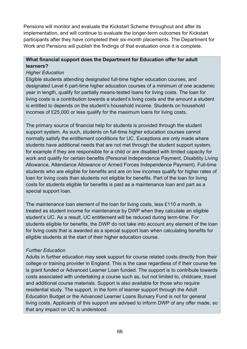Pensions will monitor and evaluate the Kickstart Scheme throughout and after its implementation, and will continue to evaluate the longer-term outcomes for Kickstart participants after they have completed their six-month placements. The Department for Work and Pensions will publish the findings of that evaluation once it is complete.

# **What financial support does the Department for Education offer for adult learners?**

### *Higher Education*

Eligible students attending designated full-time higher education courses, and designated Level 6 part-time higher education courses of a minimum of one academic year in length, qualify for partially means-tested loans for living costs. The loan for living costs is a contribution towards a student's living costs and the amount a student is entitled to depends on the student's household income. Students on household incomes of £25,000 or less qualify for the maximum loans for living costs.

The primary source of financial help for students is provided through the student support system. As such, students on full-time higher education courses cannot normally satisfy the entitlement conditions for UC. Exceptions are only made where students have additional needs that are not met through the student support system, for example if they are responsible for a child or are disabled with limited capacity for work and qualify for certain benefits (Personal Independence Payment, Disability Living Allowance, Attendance Allowance or Armed Forces Independence Payment). Full-time students who are eligible for benefits and are on low incomes qualify for higher rates of loan for living costs than students not eligible for benefits. Part of the loan for living costs for students eligible for benefits is paid as a maintenance loan and part as a special support loan.

The maintenance loan element of the loan for living costs, less £110 a month, is treated as student income for maintenance by DWP when they calculate an eligible student's UC. As a result, UC entitlement will be reduced during term-time. For students eligible for benefits, the DWP do not take into account any element of the loan for living costs that is awarded as a special support loan when calculating benefits for eligible students at the start of their higher education course.

# *Further Education*

Adults in further education may seek support for course related costs directly from their college or training provider in England. This is the case regardless of if their course fee is grant funded or Advanced Learner Loan funded. The support is to contribute towards costs associated with undertaking a course such as, but not limited to, childcare, travel and additional course materials. Support is also available for those who require residential study. The support, in the form of learner support through the Adult Education Budget or the Advanced Learner Loans Bursary Fund is not for general living costs. Applicants of this support are advised to inform DWP of any offer made, so that any impact on UC is understood.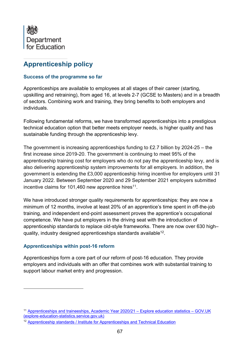

# **Apprenticeship policy**

#### **Success of the programme so far**

Apprenticeships are available to employees at all stages of their career (starting, upskilling and retraining), from aged 16, at levels 2-7 (GCSE to Masters) and in a breadth of sectors. Combining work and training, they bring benefits to both employers and individuals.

Following fundamental reforms, we have transformed apprenticeships into a prestigious technical education option that better meets employer needs, is higher quality and has sustainable funding through the apprenticeship levy.

The government is increasing apprenticeships funding to £2.7 billion by 2024-25 – the first increase since 2019-20. The government is continuing to meet 95% of the apprenticeship training cost for employers who do not pay the apprenticeship levy, and is also delivering apprenticeship system improvements for all employers. In addition, the government is extending the £3,000 apprenticeship hiring incentive for employers until 31 January 2022. Between September 2020 and 29 September 2021 employers submitted incentive claims for 101,460 new apprentice hires $^{\text{11}}$ .

We have introduced stronger quality requirements for apprenticeships: they are now a minimum of 12 months, involve at least 20% of an apprentice's time spent in off-the-job training, and independent end-point assessment proves the apprentice's occupational competence. We have put employers in the driving seat with the introduction of apprenticeship standards to replace old-style frameworks. There are now over 630 high– quality, industry designed apprenticeships standards available $^{\mathsf{12}}$ .

# **Apprenticeships within post-16 reform**

Apprenticeships form a core part of our reform of post-16 education. They provide employers and individuals with an offer that combines work with substantial training to support labour market entry and progression.

<sup>11</sup> [Apprenticeships and traineeships, Academic Year 2020/21 –](https://explore-education-statistics.service.gov.uk/find-statistics/apprenticeships-and-traineeships/2020-21) Explore education statistics – GOV.UK [\(explore-education-statistics.service.gov.uk\)](https://explore-education-statistics.service.gov.uk/find-statistics/apprenticeships-and-traineeships/2020-21)

<sup>12</sup> [Apprenticeship standards / Institute for Apprenticeships and Technical Education](https://www.instituteforapprenticeships.org/apprenticeship-standards/?includeApprovedForDelivery=true)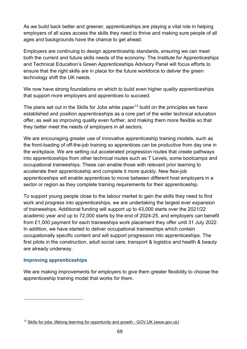As we build back better and greener, apprenticeships are playing a vital role in helping employers of all sizes access the skills they need to thrive and making sure people of all ages and backgrounds have the chance to get ahead.

Employers are continuing to design apprenticeship standards, ensuring we can meet both the current and future skills needs of the economy. The Institute for Apprenticeships and Technical Education's Green Apprenticeships Advisory Panel will focus efforts to ensure that the right skills are in place for the future workforce to deliver the green technology shift the UK needs.

We now have strong foundations on which to build even higher quality apprenticeships that support more employers and apprentices to succeed.

The plans set out in the Skills for Jobs white paper<sup>13</sup> build on the principles we have established and position apprenticeships as a core part of the wider technical education offer, as well as improving quality even further, and making them more flexible so that they better meet the needs of employers in all sectors.

We are encouraging greater use of innovative apprenticeship training models, such as the front-loading of off-the-job training so apprentices can be productive from day one in the workplace. We are setting out accelerated progression routes that create pathways into apprenticeships from other technical routes such as T Levels, some bootcamps and occupational traineeships. These can enable those with relevant prior learning to accelerate their apprenticeship and complete it more quickly. New flexi-job apprenticeships will enable apprentices to move between different host employers in a sector or region as they complete training requirements for their apprenticeship.

To support young people close to the labour market to gain the skills they need to find work and progress into apprenticeships, we are undertaking the largest ever expansion of traineeships. Additional funding will support up to 43,000 starts over the 2021/22 academic year and up to 72,000 starts by the end of 2024-25, and employers can benefit from £1,000 payment for each traineeships work placement they offer until 31 July 2022. In addition, we have started to deliver occupational traineeships which contain occupationally specific content and will support progression into apprenticeships. The first pilots in the construction, adult social care, transport & logistics and health & beauty are already underway.

#### **Improving apprenticeships**

We are making improvements for employers to give them greater flexibility to choose the apprenticeship training model that works for them.

<sup>13</sup> Skills for jobs: lifelong learning for opportunity and growth - GOV.UK (www.gov.uk)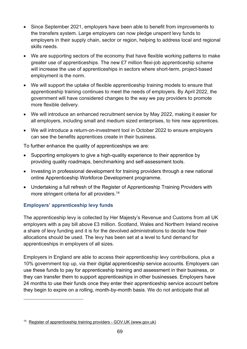- Since September 2021, employers have been able to benefit from improvements to the transfers system. Large employers can now pledge unspent levy funds to employers in their supply chain, sector or region, helping to address local and regional skills needs.
- We are supporting sectors of the economy that have flexible working patterns to make greater use of apprenticeships. The new £7 million flexi-job apprenticeship scheme will increase the use of apprenticeships in sectors where short-term, project-based employment is the norm.
- We will support the uptake of flexible apprenticeship training models to ensure that apprenticeship training continues to meet the needs of employers. By April 2022, the government will have considered changes to the way we pay providers to promote more flexible delivery.
- We will introduce an enhanced recruitment service by May 2022, making it easier for all employers, including small and medium sized enterprises, to hire new apprentices.
- We will introduce a return-on-investment tool in October 2022 to ensure employers can see the benefits apprentices create in their business.

To further enhance the quality of apprenticeships we are:

- Supporting employers to give a high-quality experience to their apprentice by providing quality roadmaps, benchmarking and self-assessment tools.
- Investing in professional development for training providers through a new national online Apprenticeship Workforce Development programme.
- Undertaking a full refresh of the Register of Apprenticeship Training Providers with more stringent criteria for all providers. 14

# **Employers' apprenticeship levy funds**

The apprenticeship levy is collected by Her Majesty's Revenue and Customs from all UK employers with a pay bill above £3 million. Scotland, Wales and Northern Ireland receive a share of levy funding and it is for the devolved administrations to decide how their allocations should be used. The levy has been set at a level to fund demand for apprenticeships in employers of all sizes.

Employers in England are able to access their apprenticeship levy contributions, plus a 10% government top up, via their digital apprenticeship service accounts. Employers can use these funds to pay for apprenticeship training and assessment in their business, or they can transfer them to support apprenticeships in other businesses. Employers have 24 months to use their funds once they enter their apprenticeship service account before they begin to expire on a rolling, month-by-month basis. We do not anticipate that all

<sup>&</sup>lt;sup>14</sup> [Register of apprenticeship training providers -](https://www.gov.uk/guidance/register-of-apprenticeship-training-providers) GOV.UK (www.gov.uk)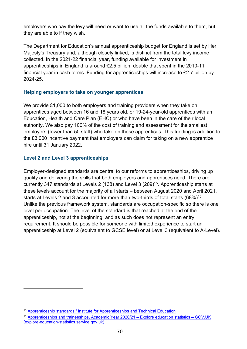employers who pay the levy will need or want to use all the funds available to them, but they are able to if they wish.

The Department for Education's annual apprenticeship budget for England is set by Her Majesty's Treasury and, although closely linked, is distinct from the total levy income collected. In the 2021-22 financial year, funding available for investment in apprenticeships in England is around £2.5 billion, double that spent in the 2010-11 financial year in cash terms. Funding for apprenticeships will increase to £2.7 billion by 2024-25.

### **Helping employers to take on younger apprentices**

We provide £1,000 to both employers and training providers when they take on apprentices aged between 16 and 18 years old, or 19-24-year-old apprentices with an Education, Health and Care Plan (EHC) or who have been in the care of their local authority. We also pay 100% of the cost of training and assessment for the smallest employers (fewer than 50 staff) who take on these apprentices. This funding is addition to the £3,000 incentive payment that employers can claim for taking on a new apprentice hire until 31 January 2022.

### **Level 2 and Level 3 apprenticeships**

Employer-designed standards are central to our reforms to apprenticeships, driving up quality and delivering the skills that both employers and apprentices need. There are currently 347 standards at Levels 2 (138) and Level 3 (209)<sup>15</sup>. Apprenticeship starts at these levels account for the majority of all starts – between August 2020 and April 2021, starts at Levels 2 and 3 accounted for more than two-thirds of total starts (68%) $^{16}$ . Unlike the previous framework system, standards are occupation-specific so there is one level per occupation. The level of the standard is that reached at the end of the apprenticeship, not at the beginning, and as such does not represent an entry requirement. It should be possible for someone with limited experience to start an apprenticeship at Level 2 (equivalent to GCSE level) or at Level 3 (equivalent to A-Level).

<sup>&</sup>lt;sup>15</sup> [Apprenticeship standards / Institute for Apprenticeships and Technical Education](https://www.instituteforapprenticeships.org/apprenticeship-standards/?levels=2,3&includeApprovedForDelivery=true)

<sup>16</sup> [Apprenticeships and traineeships, Academic Year 2020/21 –](https://explore-education-statistics.service.gov.uk/find-statistics/apprenticeships-and-traineeships/2020-21) Explore education statistics – GOV.UK [\(explore-education-statistics.service.gov.uk\)](https://explore-education-statistics.service.gov.uk/find-statistics/apprenticeships-and-traineeships/2020-21)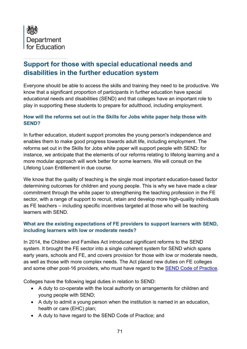

# **Support for those with special educational needs and disabilities in the further education system**

Everyone should be able to access the skills and training they need to be productive. We know that a significant proportion of participants in further education have special educational needs and disabilities (SEND) and that colleges have an important role to play in supporting these students to prepare for adulthood, including employment.

### **How will the reforms set out in the Skills for Jobs white paper help those with SEND?**

In further education, student support promotes the young person's independence and enables them to make good progress towards adult life, including employment. The reforms set out in the Skills for Jobs white paper will support people with SEND: for instance, we anticipate that the elements of our reforms relating to lifelong learning and a more modular approach will work better for some learners. We will consult on the Lifelong Loan Entitlement in due course.

We know that the quality of teaching is the single most important education-based factor determining outcomes for children and young people. This is why we have made a clear commitment through the white paper to strengthening the teaching profession in the FE sector, with a range of support to recruit, retain and develop more high-quality individuals as FE teachers – including specific incentives targeted at those who will be teaching learners with SEND.

### **What are the existing expectations of FE providers to support learners with SEND, including learners with low or moderate needs?**

In 2014, the Children and Families Act introduced significant reforms to the SEND system. It brought the FE sector into a single coherent system for SEND which spans early years, schools and FE, and covers provision for those with low or moderate needs, as well as those with more complex needs. The Act placed new duties on FE colleges and some other post-16 providers, who must have regard to the [SEND Code of Practice.](https://www.gov.uk/government/publications/send-code-of-practice-0-to-25)

Colleges have the following legal duties in relation to SEND:

- A duty to co-operate with the local authority on arrangements for children and young people with SEND;
- A duty to admit a young person when the institution is named in an education, health or care (EHC) plan;
- A duty to have regard to the SEND Code of Practice; and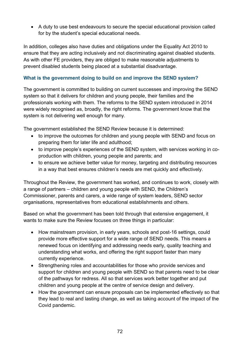• A duty to use best endeavours to secure the special educational provision called for by the student's special educational needs.

In addition, colleges also have duties and obligations under the Equality Act 2010 to ensure that they are acting inclusively and not discriminating against disabled students. As with other FE providers, they are obliged to make reasonable adjustments to prevent disabled students being placed at a substantial disadvantage.

# **What is the government doing to build on and improve the SEND system?**

The government is committed to building on current successes and improving the SEND system so that it delivers for children and young people, their families and the professionals working with them. The reforms to the SEND system introduced in 2014 were widely recognised as, broadly, the right reforms. The government know that the system is not delivering well enough for many.

The government established the SEND Review because it is determined:

- to improve the outcomes for children and young people with SEND and focus on preparing them for later life and adulthood;
- to improve people's experiences of the SEND system, with services working in coproduction with children, young people and parents; and
- to ensure we achieve better value for money, targeting and distributing resources in a way that best ensures children's needs are met quickly and effectively.

Throughout the Review, the government has worked, and continues to work, closely with a range of partners – children and young people with SEND, the Children's Commissioner, parents and carers, a wide range of system leaders, SEND sector organisations, representatives from educational establishments and others.

Based on what the government has been told through that extensive engagement, it wants to make sure the Review focuses on three things in particular:

- How mainstream provision, in early years, schools and post-16 settings, could provide more effective support for a wide range of SEND needs. This means a renewed focus on identifying and addressing needs early, quality teaching and understanding what works, and offering the right support faster than many currently experience.
- Strengthening roles and accountabilities for those who provide services and support for children and young people with SEND so that parents need to be clear of the pathways for redress. All so that services work better together and put children and young people at the centre of service design and delivery.
- How the government can ensure proposals can be implemented effectively so that they lead to real and lasting change, as well as taking account of the impact of the Covid pandemic.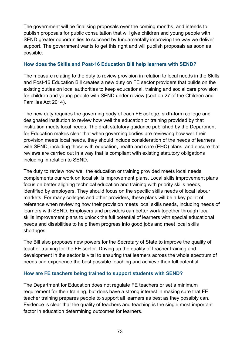The government will be finalising proposals over the coming months, and intends to publish proposals for public consultation that will give children and young people with SEND greater opportunities to succeed by fundamentally improving the way we deliver support. The government wants to get this right and will publish proposals as soon as possible.

## **How does the Skills and Post-16 Education Bill help learners with SEND?**

The measure relating to the duty to review provision in relation to local needs in the Skills and Post-16 Education Bill creates a new duty on FE sector providers that builds on the existing duties on local authorities to keep educational, training and social care provision for children and young people with SEND under review (section 27 of the Children and Families Act 2014).

The new duty requires the governing body of each FE college, sixth-form college and designated institution to review how well the education or training provided by that institution meets local needs. The draft statutory guidance published by the Department for Education makes clear that when governing bodies are reviewing how well their provision meets local needs, they should include consideration of the needs of learners with SEND, including those with education, health and care (EHC) plans, and ensure that reviews are carried out in a way that is compliant with existing statutory obligations including in relation to SEND.

The duty to review how well the education or training provided meets local needs complements our work on local skills improvement plans. Local skills improvement plans focus on better aligning technical education and training with priority skills needs, identified by employers. They should focus on the specific skills needs of local labour markets. For many colleges and other providers, these plans will be a key point of reference when reviewing how their provision meets local skills needs, including needs of learners with SEND. Employers and providers can better work together through local skills improvement plans to unlock the full potential of learners with special educational needs and disabilities to help them progress into good jobs and meet local skills shortages.

The Bill also proposes new powers for the Secretary of State to improve the quality of teacher training for the FE sector. Driving up the quality of teacher training and development in the sector is vital to ensuring that learners across the whole spectrum of needs can experience the best possible teaching and achieve their full potential.

#### **How are FE teachers being trained to support students with SEND?**

The Department for Education does not regulate FE teachers or set a minimum requirement for their training, but does have a strong interest in making sure that FE teacher training prepares people to support all learners as best as they possibly can. Evidence is clear that the quality of teachers and teaching is the single most important factor in education determining outcomes for learners.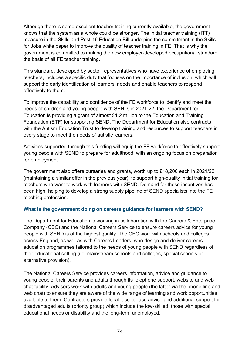Although there is some excellent teacher training currently available, the government knows that the system as a whole could be stronger. The initial teacher training (ITT) measure in the Skills and Post-16 Education Bill underpins the commitment in the Skills for Jobs white paper to improve the quality of teacher training in FE. That is why the government is committed to making the new employer-developed occupational standard the basis of all FE teacher training.

This standard, developed by sector representatives who have experience of employing teachers, includes a specific duty that focuses on the importance of inclusion, which will support the early identification of learners' needs and enable teachers to respond effectively to them.

To improve the capability and confidence of the FE workforce to identify and meet the needs of children and young people with SEND, in 2021-22, the Department for Education is providing a grant of almost £1.2 million to the Education and Training Foundation (ETF) for supporting SEND. The Department for Education also contracts with the Autism Education Trust to develop training and resources to support teachers in every stage to meet the needs of autistic learners.

Activities supported through this funding will equip the FE workforce to effectively support young people with SEND to prepare for adulthood, with an ongoing focus on preparation for employment.

The government also offers bursaries and grants, worth up to £18,200 each in 2021/22 (maintaining a similar offer in the previous year), to support high-quality initial training for teachers who want to work with learners with SEND. Demand for these incentives has been high, helping to develop a strong supply pipeline of SEND specialists into the FE teaching profession.

# **What is the government doing on careers guidance for learners with SEND?**

The Department for Education is working in collaboration with the Careers & Enterprise Company (CEC) and the National Careers Service to ensure careers advice for young people with SEND is of the highest quality. The CEC work with schools and colleges across England, as well as with Careers Leaders, who design and deliver careers education programmes tailored to the needs of young people with SEND regardless of their educational setting (i.e. mainstream schools and colleges, special schools or alternative provision).

The National Careers Service provides careers information, advice and guidance to young people, their parents and adults through its telephone support, website and web chat facility. Advisers work with adults and young people (the latter via the phone line and web chat) to ensure they are aware of the wide range of learning and work opportunities available to them. Contractors provide local face-to-face advice and additional support for disadvantaged adults (priority group) which include the low-skilled, those with special educational needs or disability and the long-term unemployed.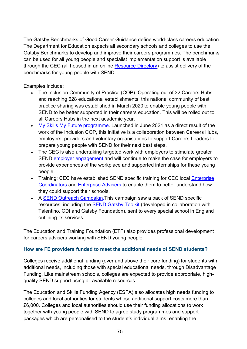The Gatsby Benchmarks of Good Career Guidance define world-class careers education. The Department for Education expects all secondary schools and colleges to use the Gatsby Benchmarks to develop and improve their careers programmes. The benchmarks can be used for all young people and specialist implementation support is available through the CEC (all housed in an online [Resource Directory\)](https://resources.careersandenterprise.co.uk/) to assist delivery of the benchmarks for young people with SEND.

Examples include:

- The Inclusion Community of Practice (COP). Operating out of 32 Careers Hubs and reaching 628 educational establishments, this national community of best practice sharing was established in March 2020 to enable young people with SEND to be better supported in their careers education. This will be rolled out to all Careers Hubs in the next academic year.
- [My Skills My Future programme.](https://resources.careersandenterprise.co.uk/my-skills-my-future) Launched in June 2021 as a direct result of the work of the Inclusion COP, this initiative is a collaboration between Careers Hubs, employers, providers and voluntary organisations to support Careers Leaders to prepare young people with SEND for their next best steps.
- The CEC is also undertaking targeted work with employers to stimulate greater SEND [employer engagement](https://resources.careersandenterprise.co.uk/supporting-employers-working-young-people-special-educational-needs-and-disabilities-send) and will continue to make the case for employers to provide experiences of the workplace and supported internships for these young people.
- Training: CEC have established SEND specific training for CEC local Enterprise [Coordinators](https://www.careersandenterprise.co.uk/our-network-careers-hubs/our-network/) and [Enterprise Advisers](https://www.careersandenterprise.co.uk/employers/volunteer-with-a-school-or-college/) to enable them to better understand how they could support their schools.
- A [SEND Outreach Campaign.](https://resources.careersandenterprise.co.uk/resources/send-outreach-campaign-e-pack) This campaign saw a pack of SEND specific resources, including the [SEND Gatsby Toolkit](https://resources.careersandenterprise.co.uk/resources/gatsby-benchmark-toolkit-send) (developed in collaboration with Talentino, CDI and Gatsby Foundation), sent to every special school in England outlining its services.

The Education and Training Foundation (ETF) also provides professional development for careers advisers working with SEND young people.

# **How are FE providers funded to meet the additional needs of SEND students?**

Colleges receive additional funding (over and above their core funding) for students with additional needs, including those with special educational needs, through Disadvantage Funding. Like mainstream schools, colleges are expected to provide appropriate, highquality SEND support using all available resources.

The Education and Skills Funding Agency (ESFA) also allocates high needs funding to colleges and local authorities for students whose additional support costs more than £6,000. Colleges and local authorities should use their funding allocations to work together with young people with SEND to agree study programmes and support packages which are personalised to the student's individual aims, enabling the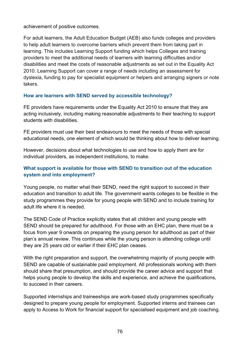achievement of positive outcomes.

For adult learners, the Adult Education Budget (AEB) also funds colleges and providers to help adult learners to overcome barriers which prevent them from taking part in learning. This includes Learning Support funding which helps Colleges and training providers to meet the additional needs of learners with learning difficulties and/or disabilities and meet the costs of reasonable adjustments as set out in the Equality Act 2010. Learning Support can cover a range of needs including an assessment for dyslexia, funding to pay for specialist equipment or helpers and arranging signers or note takers.

## **How are learners with SEND served by accessible technology?**

FE providers have requirements under the Equality Act 2010 to ensure that they are acting inclusively, including making reasonable adjustments to their teaching to support students with disabilities.

FE providers must use their best endeavours to meet the needs of those with special educational needs, one element of which would be thinking about how to deliver learning.

However, decisions about what technologies to use and how to apply them are for individual providers, as independent institutions, to make.

# **What support is available for those with SEND to transition out of the education system and into employment?**

Young people, no matter what their SEND, need the right support to succeed in their education and transition to adult life. The government wants colleges to be flexible in the study programmes they provide for young people with SEND and to include training for adult life where it is needed.

The SEND Code of Practice explicitly states that all children and young people with SEND should be prepared for adulthood. For those with an EHC plan, there must be a focus from year 9 onwards on preparing the young person for adulthood as part of their plan's annual review. This continues while the young person is attending college until they are 25 years old or earlier if their EHC plan ceases.

With the right preparation and support, the overwhelming majority of young people with SEND are capable of sustainable paid employment. All professionals working with them should share that presumption, and should provide the career advice and support that helps young people to develop the skills and experience, and achieve the qualifications, to succeed in their careers.

Supported internships and traineeships are work-based study programmes specifically designed to prepare young people for employment. Supported interns and trainees can apply to Access to Work for financial support for specialised equipment and job coaching.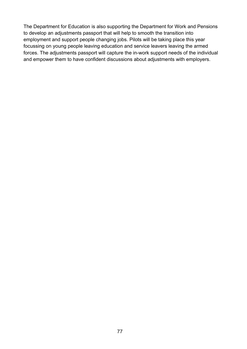The Department for Education is also supporting the Department for Work and Pensions to develop an adjustments passport that will help to smooth the transition into employment and support people changing jobs. Pilots will be taking place this year focussing on young people leaving education and service leavers leaving the armed forces. The adjustments passport will capture the in-work support needs of the individual and empower them to have confident discussions about adjustments with employers.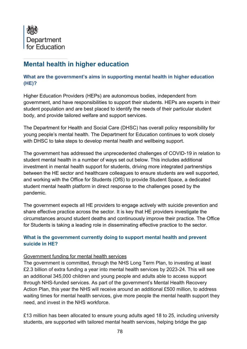

# **Mental health in higher education**

## **What are the government's aims in supporting mental health in higher education (HE)?**

Higher Education Providers (HEPs) are autonomous bodies, independent from government, and have responsibilities to support their students. HEPs are experts in their student population and are best placed to identify the needs of their particular student body, and provide tailored welfare and support services.

The Department for Health and Social Care (DHSC) has overall policy responsibility for young people's mental health. The Department for Education continues to work closely with DHSC to take steps to develop mental health and wellbeing support.

The government has addressed the unprecedented challenges of COVID-19 in relation to student mental health in a number of ways set out below. This includes additional investment in mental health support for students, driving more integrated partnerships between the HE sector and healthcare colleagues to ensure students are well supported, and working with the Office for Students (OfS) to provide Student Space, a dedicated student mental health platform in direct response to the challenges posed by the pandemic.

The government expects all HE providers to engage actively with suicide prevention and share effective practice across the sector. It is key that HE providers investigate the circumstances around student deaths and continuously improve their practice. The Office for Students is taking a leading role in disseminating effective practice to the sector.

# **What is the government currently doing to support mental health and prevent suicide in HE?**

#### Government funding for mental health services

The government is committed, through the NHS Long Term Plan, to investing at least £2.3 billion of extra funding a year into mental health services by 2023-24. This will see an additional 345,000 children and young people and adults able to access support through NHS-funded services. As part of the government's Mental Health Recovery Action Plan, this year the NHS will receive around an additional £500 million, to address waiting times for mental health services, give more people the mental health support they need, and invest in the NHS workforce.

£13 million has been allocated to ensure young adults aged 18 to 25, including university students, are supported with tailored mental health services, helping bridge the gap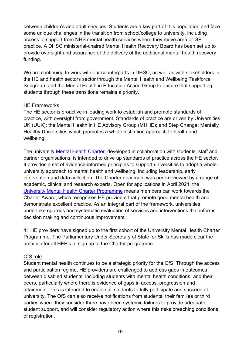between children's and adult services. Students are a key part of this population and face some unique challenges in the transition from school/college to university, including access to support from NHS mental health services where they move area or GP practice. A DHSC ministerial-chaired Mental Health Recovery Board has been set up to provide oversight and assurance of the delivery of the additional mental health recovery funding.

We are continuing to work with our counterparts in DHSC, as well as with stakeholders in the HE and health sectors sector through the Mental Health and Wellbeing Taskforce Subgroup, and the Mental Health in Education Action Group to ensure that supporting students through these transitions remains a priority.

#### HE Frameworks

The HE sector is proactive in leading work to establish and promote standards of practice, with oversight from government. Standards of practice are driven by Universities UK (UUK); the Mental Health in HE Advisory Group (MHHE); and Step Change: Mentally Healthy Universities which promotes a whole institution approach to health and wellbeing.

The university [Mental Health Charter,](https://www.studentminds.org.uk/charter.html) developed in collaboration with students, staff and partner organisations, is intended to drive up standards of practice across the HE sector. It provides a set of evidence-informed principles to support universities to adopt a wholeuniversity approach to mental health and wellbeing, including leadership, early intervention and data collection. The Charter document was peer-reviewed by a range of academic, clinical and research experts. Open for applications in April 2021, the [University Mental Health Charter Programme](https://universitymentalhealthcharter.org.uk/) means members can work towards the Charter Award, which recognises HE providers that promote good mental health and demonstrate excellent practice. As an integral part of the framework, universities undertake rigorous and systematic evaluation of services and interventions that informs decision making and continuous improvement.

41 HE providers have signed up to the first cohort of the University Mental Health Charter Programme. The Parliamentary Under Secretary of State for Skills has made clear the ambition for all HEP's to sign up to the Charter programme.

# OfS role

Student mental health continues to be a strategic priority for the OfS. Through the access and participation regime, HE providers are challenged to address gaps in outcomes between disabled students, including students with mental health conditions, and their peers, particularly where there is evidence of gaps in access, progression and attainment. This is intended to enable all students to fully participate and succeed at university. The OfS can also receive notifications from students, their families or third parties where they consider there have been systemic failures to provide adequate student support, and will consider regulatory action where this risks breaching conditions of registration.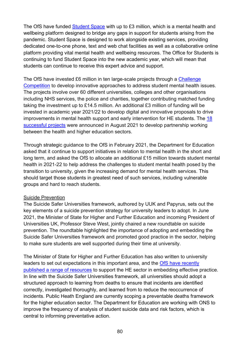The OfS have funded [Student Space](https://studentspace.org.uk/) with up to £3 million, which is a mental health and wellbeing platform designed to bridge any gaps in support for students arising from the pandemic. Student Space is designed to work alongside existing services, providing dedicated one-to-one phone, text and web chat facilities as well as a collaborative online platform providing vital mental health and wellbeing resources. The Office for Students is continuing to fund Student Space into the new academic year, which will mean that students can continue to receive this expert advice and support.

The OfS have invested £6 million in ten large-scale projects through a Challenge [Competition](https://www.officeforstudents.org.uk/news-blog-and-events/press-and-media/innovation-partnership-and-data-can-help-improve-student-mental-health-in-new-14m-drive/) to develop innovative approaches to address student mental health issues. The projects involve over 60 different universities, colleges and other organisations including NHS services, the police and charities, together contributing matched funding taking the investment up to £14.5 million. An additional £3 million of funding will be invested in academic year 2021/22 to develop digital and innovative proposals to drive improvements in mental health support and early intervention for HE students. The 18 [successful projects](https://www.officeforstudents.org.uk/advice-and-guidance/funding-for-providers/mental-health-funding-competition-using-innovation-and-intersectional-approaches/) were announced in August 2021 to develop partnership working between the health and higher education sectors.

Through [strategic](https://www.officeforstudents.org.uk/media/48277145-4cf3-497f-b9b7-b13fdf16f46b/ofs-strategic-guidance-20210208.pdf) guidance to the OfS in February 2021, the Department for Education asked that it continue to support initiatives in relation to mental health in the short and long term, and asked the OfS to allocate an additional £15 million towards student mental health in 2021-22 to help address the challenges to student mental health posed by the transition to university, given the increasing demand for mental health services. This should target those students in greatest need of such services, including vulnerable groups and hard to reach students.

#### Suicide Prevention

The Suicide Safer Universities framework, authored by UUK and Papyrus, sets out the key elements of a suicide prevention strategy for university leaders to adopt. In June 2021, the Minister of State for Higher and Further Education and incoming President of Universities UK, Professor Steve West, jointly chaired a new roundtable on suicide prevention. The roundtable highlighted the importance of adopting and embedding the Suicide Safer Universities framework and promoted good practice in the sector, helping to make sure students are well supported during their time at university.

The Minister of State for Higher and Further Education has also written to university leaders to set out expectations in this important area, and the [OfS have recently](https://www.officeforstudents.org.uk/advice-and-guidance/promoting-equal-opportunities/effective-practice/suicide-prevention/resources/)  [published a range of resources](https://www.officeforstudents.org.uk/advice-and-guidance/promoting-equal-opportunities/effective-practice/suicide-prevention/resources/) to support the HE sector in embedding effective practice. In line with the Suicide Safer Universities framework, all universities should adopt a structured approach to learning from deaths to ensure that incidents are identified correctly, investigated thoroughly, and learned from to reduce the reoccurrence of incidents. Public Heath England are currently scoping a preventable deaths framework for the higher education sector. The Department for Education are working with ONS to improve the frequency of analysis of student suicide data and risk factors, which is central to informing preventative action.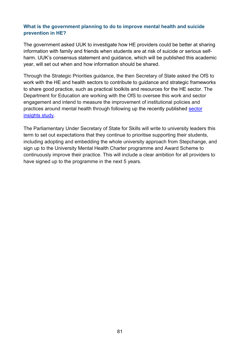## **What is the government planning to do to improve mental health and suicide prevention in HE?**

The government asked UUK to investigate how HE providers could be better at sharing information with family and friends when students are at risk of suicide or serious selfharm. UUK's consensus statement and guidance, which will be published this academic year, will set out when and how information should be shared.

Through the Strategic Priorities guidance, the then Secretary of State asked the OfS to work with the HE and health sectors to contribute to guidance and strategic frameworks to share good practice, such as practical toolkits and resources for the HE sector. The Department for Education are working with the OfS to oversee this work and sector engagement and intend to measure the improvement of institutional policies and practices around mental health through following up the recently published [sector](https://www.gov.uk/government/publications/he-student-mental-health-and-wellbeing-sector-insights)  [insights study.](https://www.gov.uk/government/publications/he-student-mental-health-and-wellbeing-sector-insights)

The Parliamentary Under Secretary of State for Skills will write to university leaders this term to set out expectations that they continue to prioritise supporting their students, including adopting and embedding the whole university approach from Stepchange, and sign up to the University Mental Health Charter programme and Award Scheme to continuously improve their practice. This will include a clear ambition for all providers to have signed up to the programme in the next 5 years.